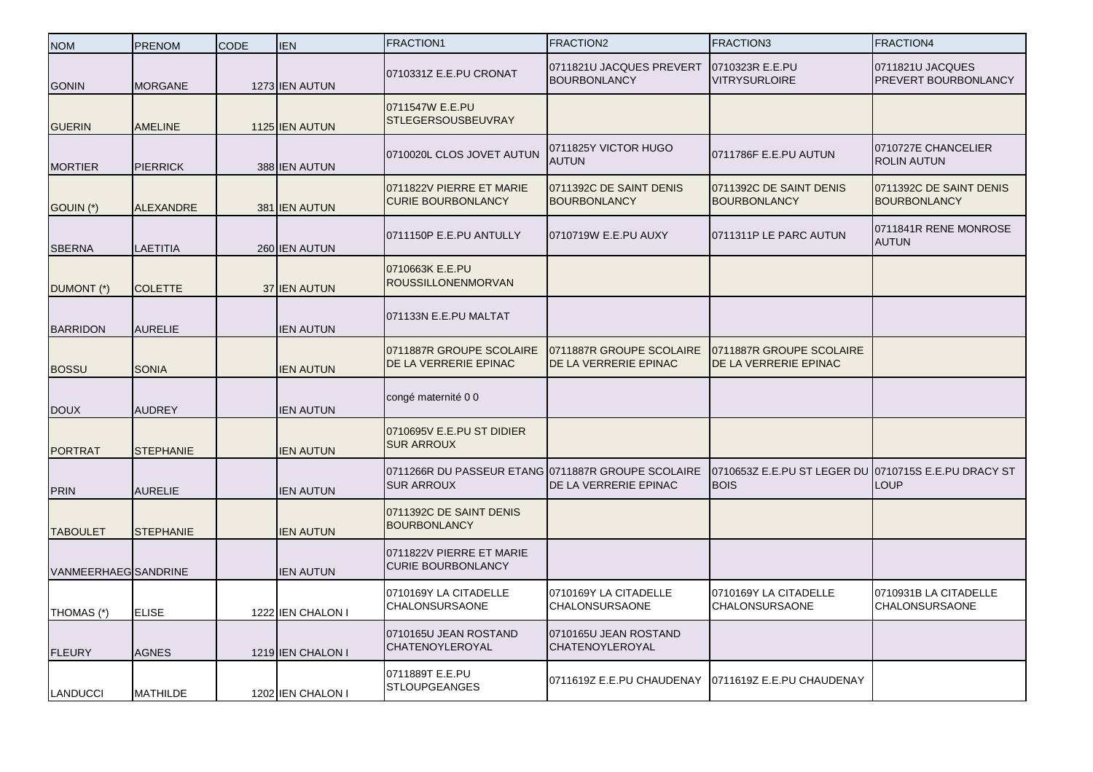| <b>NOM</b>           | <b>PRENOM</b>    | <b>CODE</b> | <b>IEN</b>        | <b>FRACTION1</b>                                                        | FRACTION2                                         | <b>FRACTION3</b>                                                    | FRACTION4                                      |
|----------------------|------------------|-------------|-------------------|-------------------------------------------------------------------------|---------------------------------------------------|---------------------------------------------------------------------|------------------------------------------------|
| <b>GONIN</b>         | <b>MORGANE</b>   |             | 1273 IEN AUTUN    | 0710331Z E.E.PU CRONAT                                                  | 0711821U JACQUES PREVERT<br><b>BOURBONLANCY</b>   | 0710323R E.E.PU<br><b>VITRYSURLOIRE</b>                             | 0711821U JACQUES<br>PREVERT BOURBONLANCY       |
| <b>GUERIN</b>        | <b>AMELINE</b>   |             | 1125 IEN AUTUN    | 0711547W E.E.PU<br><b>STLEGERSOUSBEUVRAY</b>                            |                                                   |                                                                     |                                                |
| <b>MORTIER</b>       | <b>PIERRICK</b>  |             | 388 IEN AUTUN     | 0710020L CLOS JOVET AUTUN                                               | 0711825Y VICTOR HUGO<br>AUTUN                     | 0711786F E.E.PU AUTUN                                               | 0710727E CHANCELIER<br><b>ROLIN AUTUN</b>      |
| GOUIN (*)            | <b>ALEXANDRE</b> |             | 381 IEN AUTUN     | 0711822V PIERRE ET MARIE<br><b>CURIE BOURBONLANCY</b>                   | 0711392C DE SAINT DENIS<br><b>BOURBONLANCY</b>    | 0711392C DE SAINT DENIS<br><b>BOURBONLANCY</b>                      | 0711392C DE SAINT DENIS<br><b>BOURBONLANCY</b> |
| <b>SBERNA</b>        | <b>LAETITIA</b>  |             | 260 IEN AUTUN     | 0711150P E.E.PU ANTULLY                                                 | 0710719W E.E.PU AUXY                              | 0711311P LE PARC AUTUN                                              | 0711841R RENE MONROSE<br><b>AUTUN</b>          |
| DUMONT (*)           | <b>COLETTE</b>   |             | 37 IEN AUTUN      | 0710663K E.E.PU<br><b>ROUSSILLONENMORVAN</b>                            |                                                   |                                                                     |                                                |
| <b>BARRIDON</b>      | <b>AURELIE</b>   |             | <b>IEN AUTUN</b>  | 071133N E.E.PU MALTAT                                                   |                                                   |                                                                     |                                                |
| <b>BOSSU</b>         | <b>SONIA</b>     |             | <b>IEN AUTUN</b>  | 0711887R GROUPE SCOLAIRE<br>DE LA VERRERIE EPINAC                       | 0711887R GROUPE SCOLAIRE<br>DE LA VERRERIE EPINAC | 0711887R GROUPE SCOLAIRE<br>DE LA VERRERIE EPINAC                   |                                                |
| <b>DOUX</b>          | <b>AUDREY</b>    |             | <b>IEN AUTUN</b>  | congé maternité 0 0                                                     |                                                   |                                                                     |                                                |
| <b>PORTRAT</b>       | <b>STEPHANIE</b> |             | <b>IEN AUTUN</b>  | 0710695V E.E.PU ST DIDIER<br><b>SUR ARROUX</b>                          |                                                   |                                                                     |                                                |
| <b>PRIN</b>          | <b>AURELIE</b>   |             | <b>IEN AUTUN</b>  | 0711266R DU PASSEUR ETANG 0711887R GROUPE SCOLAIRE<br><b>SUR ARROUX</b> | DE LA VERRERIE EPINAC                             | 0710653Z E.E.PU ST LEGER DU 0710715S E.E.PU DRACY ST<br><b>BOIS</b> | <b>LOUP</b>                                    |
| <b>TABOULET</b>      | <b>STEPHANIE</b> |             | <b>IEN AUTUN</b>  | 0711392C DE SAINT DENIS<br><b>BOURBONLANCY</b>                          |                                                   |                                                                     |                                                |
| VANMEERHAEG SANDRINE |                  |             | <b>IEN AUTUN</b>  | 0711822V PIERRE ET MARIE<br><b>CURIE BOURBONLANCY</b>                   |                                                   |                                                                     |                                                |
| THOMAS (*)           | <b>ELISE</b>     |             | 1222 IEN CHALON I | 0710169Y LA CITADELLE<br>CHALONSURSAONE                                 | 0710169Y LA CITADELLE<br>CHALONSURSAONE           | 0710169Y LA CITADELLE<br>CHALONSURSAONE                             | 0710931B LA CITADELLE<br><b>CHALONSURSAONE</b> |
| <b>FLEURY</b>        | <b>AGNES</b>     |             | 1219 IEN CHALON I | 0710165U JEAN ROSTAND<br><b>CHATENOYLEROYAL</b>                         | 0710165U JEAN ROSTAND<br>CHATENOYLEROYAL          |                                                                     |                                                |
| LANDUCCI             | <b>MATHILDE</b>  |             | 1202 IEN CHALON I | 0711889T E.E.PU<br><b>STLOUPGEANGES</b>                                 | 0711619Z E.E.PU CHAUDENAY                         | 0711619Z E.E.PU CHAUDENAY                                           |                                                |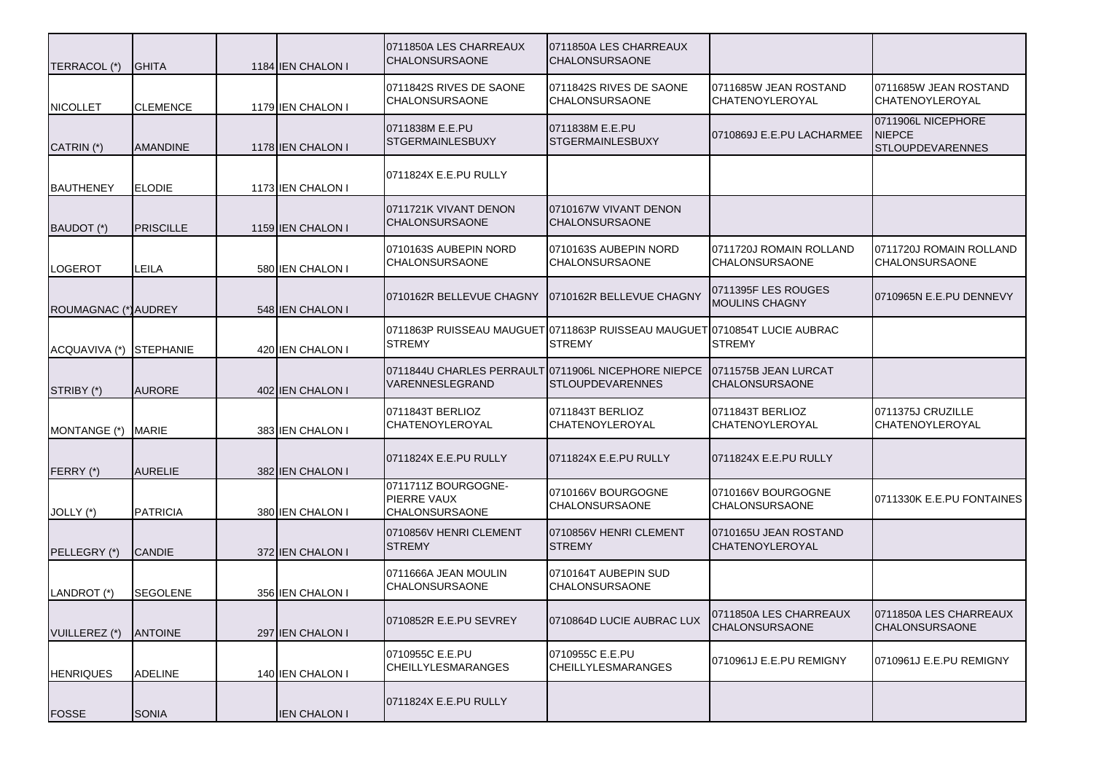| TERRACOL (*)            | <b>GHITA</b>     | 1184 IEN CHALON I   | 0711850A LES CHARREAUX<br><b>CHALONSURSAONE</b>             | 0711850A LES CHARREAUX<br>CHALONSURSAONE                                                   |                                                  |                                                                |
|-------------------------|------------------|---------------------|-------------------------------------------------------------|--------------------------------------------------------------------------------------------|--------------------------------------------------|----------------------------------------------------------------|
| <b>NICOLLET</b>         | <b>CLEMENCE</b>  | 1179 IEN CHALON I   | 0711842S RIVES DE SAONE<br><b>CHALONSURSAONE</b>            | 0711842S RIVES DE SAONE<br>CHALONSURSAONE                                                  | 0711685W JEAN ROSTAND<br>CHATENOYLEROYAL         | 0711685W JEAN ROSTAND<br>CHATENOYLEROYAL                       |
| CATRIN (*)              | <b>AMANDINE</b>  | 1178 IEN CHALON I   | 0711838M E.E.PU<br><b>STGERMAINLESBUXY</b>                  | 0711838M E.E.PU<br><b>STGERMAINLESBUXY</b>                                                 | 0710869J E.E.PU LACHARMEE                        | 0711906L NICEPHORE<br><b>NIEPCE</b><br><b>STLOUPDEVARENNES</b> |
| <b>BAUTHENEY</b>        | <b>ELODIE</b>    | 1173 IEN CHALON I   | 0711824X E.E.PU RULLY                                       |                                                                                            |                                                  |                                                                |
| BAUDOT (*)              | <b>PRISCILLE</b> | 1159 IEN CHALON I   | 0711721K VIVANT DENON<br><b>CHALONSURSAONE</b>              | 0710167W VIVANT DENON<br><b>CHALONSURSAONE</b>                                             |                                                  |                                                                |
| <b>LOGEROT</b>          | LEILA            | 580 IEN CHALON I    | 0710163S AUBEPIN NORD<br><b>CHALONSURSAONE</b>              | 0710163S AUBEPIN NORD<br>CHALONSURSAONE                                                    | 0711720J ROMAIN ROLLAND<br><b>CHALONSURSAONE</b> | 0711720J ROMAIN ROLLAND<br>CHALONSURSAONE                      |
| ROUMAGNAC (*) AUDREY    |                  | 548 IEN CHALON I    | 0710162R BELLEVUE CHAGNY                                    | 0710162R BELLEVUE CHAGNY                                                                   | 0711395F LES ROUGES<br><b>MOULINS CHAGNY</b>     | 0710965N E.E.PU DENNEVY                                        |
| ACQUAVIVA (*) STEPHANIE |                  | 420 IEN CHALON I    | <b>STREMY</b>                                               | 0711863P RUISSEAU MAUGUET 0711863P RUISSEAU MAUGUET 0710854T LUCIE AUBRAC<br><b>STREMY</b> | <b>STREMY</b>                                    |                                                                |
| STRIBY (*)              | <b>AURORE</b>    | 402 IEN CHALON I    | 0711844U CHARLES PERRAULT<br>VARENNESLEGRAND                | 0711906L NICEPHORE NIEPCE<br><b>STLOUPDEVARENNES</b>                                       | 0711575B JEAN LURCAT<br><b>CHALONSURSAONE</b>    |                                                                |
| MONTANGE (*)            | <b>MARIE</b>     | 383 IEN CHALON I    | 0711843T BERLIOZ<br><b>CHATENOYLEROYAL</b>                  | 0711843T BERLIOZ<br>CHATENOYLEROYAL                                                        | 0711843T BERLIOZ<br>CHATENOYLEROYAL              | 0711375J CRUZILLE<br>CHATENOYLEROYAL                           |
| FERRY (*)               | <b>AURELIE</b>   | 382 IEN CHALON I    | 0711824X E.E.PU RULLY                                       | 0711824X E.E.PU RULLY                                                                      | 0711824X E.E.PU RULLY                            |                                                                |
| JOLLY (*)               | <b>PATRICIA</b>  | 380 IEN CHALON I    | 0711711Z BOURGOGNE-<br>PIERRE VAUX<br><b>CHALONSURSAONE</b> | 0710166V BOURGOGNE<br><b>CHALONSURSAONE</b>                                                | 0710166V BOURGOGNE<br><b>CHALONSURSAONE</b>      | 0711330K E.E.PU FONTAINES                                      |
| PELLEGRY (*)            | <b>CANDIE</b>    | 372 IEN CHALON I    | 0710856V HENRI CLEMENT<br><b>STREMY</b>                     | 0710856V HENRI CLEMENT<br><b>STREMY</b>                                                    | 0710165U JEAN ROSTAND<br><b>CHATENOYLEROYAL</b>  |                                                                |
| LANDROT (*)             | <b>SEGOLENE</b>  | 356 IEN CHALON I    | 0711666A JEAN MOULIN<br><b>CHALONSURSAONE</b>               | 0710164T AUBEPIN SUD<br>CHALONSURSAONE                                                     |                                                  |                                                                |
| VUILLEREZ (*)           | <b>ANTOINE</b>   | 297 IEN CHALON I    | 0710852R E.E.PU SEVREY                                      | 0710864D LUCIE AUBRAC LUX                                                                  | 0711850A LES CHARREAUX<br><b>CHALONSURSAONE</b>  | 0711850A LES CHARREAUX<br><b>CHALONSURSAONE</b>                |
| <b>HENRIQUES</b>        | <b>ADELINE</b>   | 140 IEN CHALON I    | 0710955C E.E.PU<br><b>CHEILLYLESMARANGES</b>                | 0710955C E.E.PU<br><b>CHEILLYLESMARANGES</b>                                               | 0710961J E.E.PU REMIGNY                          | 0710961J E.E.PU REMIGNY                                        |
| <b>FOSSE</b>            | <b>SONIA</b>     | <b>IEN CHALON I</b> | 0711824X E.E.PU RULLY                                       |                                                                                            |                                                  |                                                                |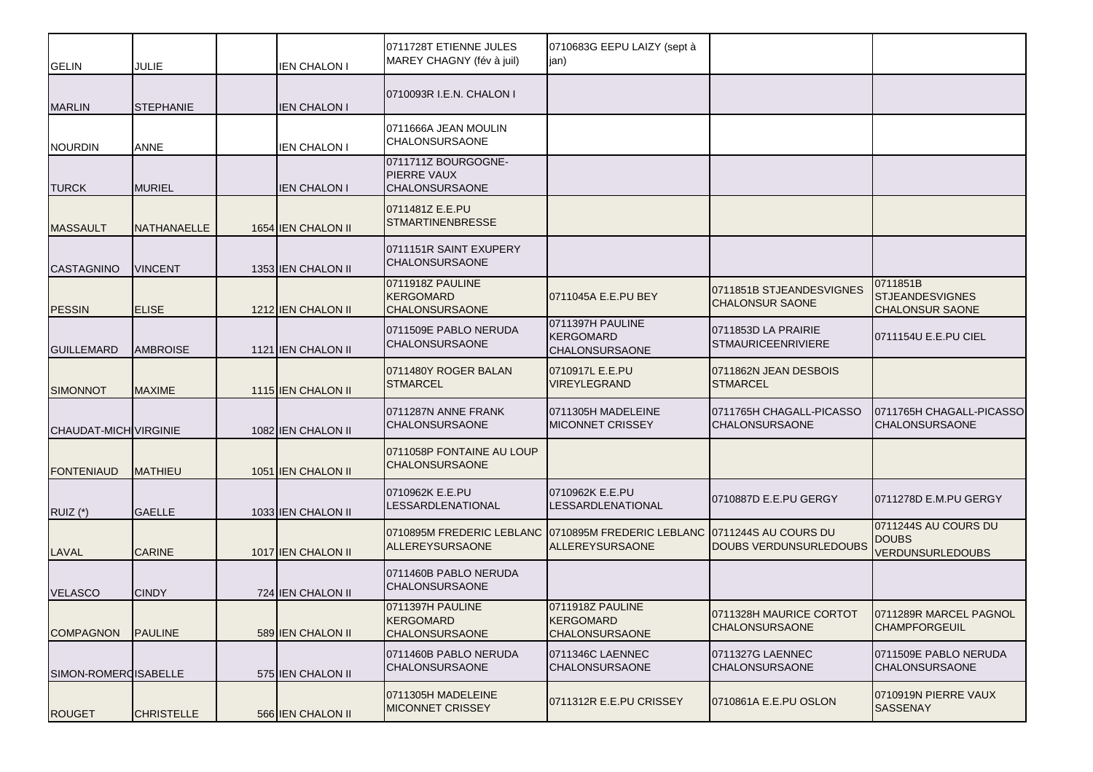| <b>GELIN</b>          | JULIE             | <b>IEN CHALON I</b> | 0711728T ETIENNE JULES<br>MAREY CHAGNY (fév à juil)                | 0710683G EEPU LAIZY (sept à<br>jan)                               |                                                    |                                                                 |
|-----------------------|-------------------|---------------------|--------------------------------------------------------------------|-------------------------------------------------------------------|----------------------------------------------------|-----------------------------------------------------------------|
| <b>MARLIN</b>         | <b>STEPHANIE</b>  | <b>IEN CHALON I</b> | 0710093R I.E.N. CHALON I                                           |                                                                   |                                                    |                                                                 |
| <b>NOURDIN</b>        | ANNE              | <b>IEN CHALON I</b> | 0711666A JEAN MOULIN<br><b>CHALONSURSAONE</b>                      |                                                                   |                                                    |                                                                 |
| <b>TURCK</b>          | <b>MURIEL</b>     | <b>IEN CHALON I</b> | 0711711Z BOURGOGNE-<br><b>PIERRE VAUX</b><br><b>CHALONSURSAONE</b> |                                                                   |                                                    |                                                                 |
| <b>MASSAULT</b>       | NATHANAELLE       | 1654 IEN CHALON II  | 0711481Z E.E.PU<br><b>STMARTINENBRESSE</b>                         |                                                                   |                                                    |                                                                 |
| <b>CASTAGNINO</b>     | <b>VINCENT</b>    | 1353 IEN CHALON II  | 0711151R SAINT EXUPERY<br><b>CHALONSURSAONE</b>                    |                                                                   |                                                    |                                                                 |
| <b>PESSIN</b>         | <b>ELISE</b>      | 1212 IEN CHALON II  | 0711918Z PAULINE<br><b>KERGOMARD</b><br><b>CHALONSURSAONE</b>      | 0711045A E.E.PU BEY                                               | 0711851B STJEANDESVIGNES<br><b>CHALONSUR SAONE</b> | 0711851B<br><b>STJEANDESVIGNES</b><br><b>CHALONSUR SAONE</b>    |
| <b>GUILLEMARD</b>     | <b>AMBROISE</b>   | 1121 IEN CHALON II  | 0711509E PABLO NERUDA<br><b>CHALONSURSAONE</b>                     | 0711397H PAULINE<br><b>KERGOMARD</b><br><b>CHALONSURSAONE</b>     | 0711853D LA PRAIRIE<br><b>STMAURICEENRIVIERE</b>   | 0711154U E.E.PU CIEL                                            |
| <b>SIMONNOT</b>       | <b>MAXIME</b>     | 1115 IEN CHALON II  | 0711480Y ROGER BALAN<br><b>STMARCEL</b>                            | 0710917L E.E.PU<br>VIREYLEGRAND                                   | 0711862N JEAN DESBOIS<br><b>STMARCEL</b>           |                                                                 |
| CHAUDAT-MICH VIRGINIE |                   | 1082 IEN CHALON II  | 0711287N ANNE FRANK<br><b>CHALONSURSAONE</b>                       | 0711305H MADELEINE<br><b>MICONNET CRISSEY</b>                     | 0711765H CHAGALL-PICASSO<br><b>CHALONSURSAONE</b>  | 0711765H CHAGALL-PICASSO<br><b>CHALONSURSAONE</b>               |
| <b>FONTENIAUD</b>     | <b>MATHIEU</b>    | 1051 IEN CHALON II  | 0711058P FONTAINE AU LOUP<br><b>CHALONSURSAONE</b>                 |                                                                   |                                                    |                                                                 |
| RUIZ $(*)$            | <b>GAELLE</b>     | 1033 IEN CHALON II  | 0710962K E.E.PU<br>LESSARDLENATIONAL                               | 0710962K E.E.PU<br>LESSARDLENATIONAL                              | 0710887D E.E.PU GERGY                              | 0711278D E.M.PU GERGY                                           |
| LAVAL                 | <b>CARINE</b>     | 1017 IEN CHALON II  | 0710895M FREDERIC LEBLANC<br><b>ALLEREYSURSAONE</b>                | 0710895M FREDERIC LEBLANC 0711244S AU COURS DU<br>ALLEREYSURSAONE | <b>DOUBS VERDUNSURLEDOUBS</b>                      | 0711244S AU COURS DU<br><b>DOUBS</b><br><b>VERDUNSURLEDOUBS</b> |
| <b>VELASCO</b>        | <b>CINDY</b>      | 724 IEN CHALON II   | 0711460B PABLO NERUDA<br><b>CHALONSURSAONE</b>                     |                                                                   |                                                    |                                                                 |
| <b>COMPAGNON</b>      | <b>PAULINE</b>    | 589 IEN CHALON II   | 0711397H PAULINE<br><b>KERGOMARD</b><br><b>CHALONSURSAONE</b>      | 0711918Z PAULINE<br><b>KERGOMARD</b><br><b>CHALONSURSAONE</b>     | 0711328H MAURICE CORTOT<br><b>CHALONSURSAONE</b>   | 0711289R MARCEL PAGNOL<br><b>CHAMPFORGEUIL</b>                  |
| SIMON-ROMERCISABELLE  |                   | 575 IEN CHALON II   | 0711460B PABLO NERUDA<br><b>CHALONSURSAONE</b>                     | 0711346C LAENNEC<br><b>CHALONSURSAONE</b>                         | 0711327G LAENNEC<br><b>CHALONSURSAONE</b>          | 0711509E PABLO NERUDA<br><b>CHALONSURSAONE</b>                  |
| <b>ROUGET</b>         | <b>CHRISTELLE</b> | 566 IEN CHALON II   | 0711305H MADELEINE<br><b>MICONNET CRISSEY</b>                      | 0711312R E.E.PU CRISSEY                                           | 0710861A E.E.PU OSLON                              | 0710919N PIERRE VAUX<br><b>SASSENAY</b>                         |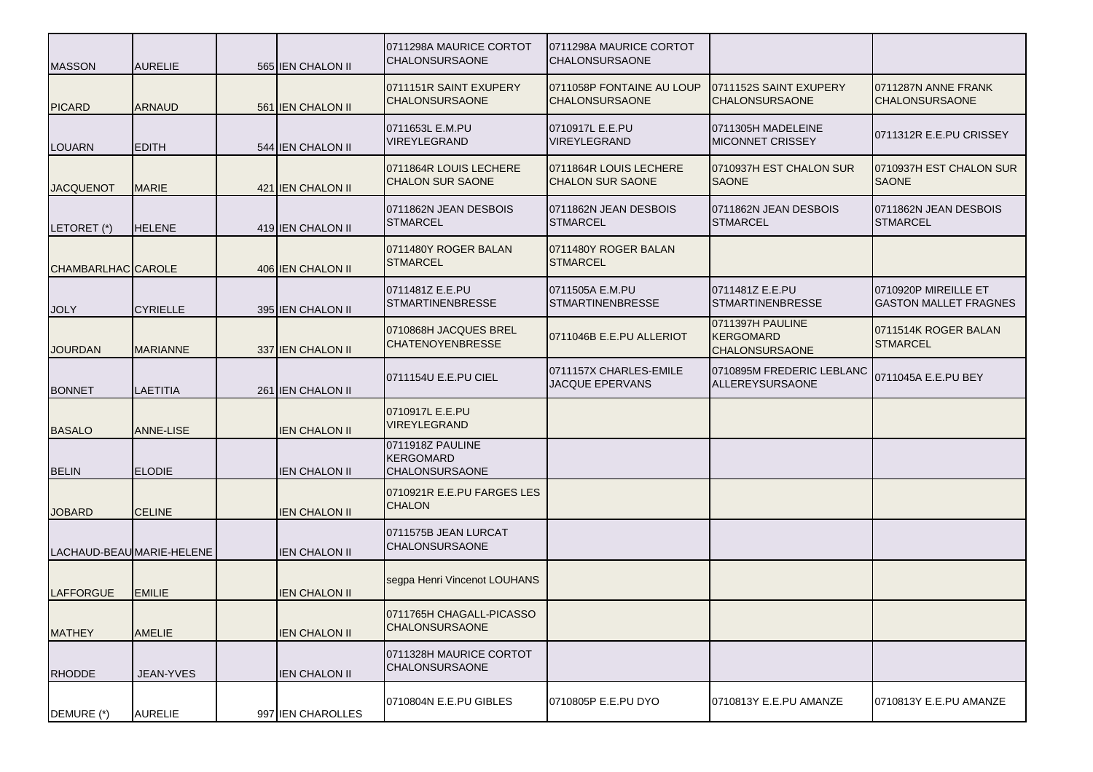| <b>MASSON</b>      | <b>AURELIE</b>            | 565 IEN CHALON II    | 0711298A MAURICE CORTOT<br><b>CHALONSURSAONE</b>              | 0711298A MAURICE CORTOT<br><b>CHALONSURSAONE</b>   |                                                               |                                                      |
|--------------------|---------------------------|----------------------|---------------------------------------------------------------|----------------------------------------------------|---------------------------------------------------------------|------------------------------------------------------|
| <b>PICARD</b>      | <b>ARNAUD</b>             | 561 IEN CHALON II    | 0711151R SAINT EXUPERY<br><b>CHALONSURSAONE</b>               | 0711058P FONTAINE AU LOUP<br><b>CHALONSURSAONE</b> | 0711152S SAINT EXUPERY<br><b>CHALONSURSAONE</b>               | 0711287N ANNE FRANK<br><b>CHALONSURSAONE</b>         |
| <b>LOUARN</b>      | <b>EDITH</b>              | 544 IEN CHALON II    | 0711653L E.M.PU<br><b>VIREYLEGRAND</b>                        | 0710917L E.E.PU<br>VIREYLEGRAND                    | 0711305H MADELEINE<br><b>MICONNET CRISSEY</b>                 | 0711312R E.E.PU CRISSEY                              |
| <b>JACQUENOT</b>   | <b>MARIE</b>              | 421 IEN CHALON II    | 0711864R LOUIS LECHERE<br><b>CHALON SUR SAONE</b>             | 0711864R LOUIS LECHERE<br><b>CHALON SUR SAONE</b>  | 0710937H EST CHALON SUR<br><b>SAONE</b>                       | 0710937H EST CHALON SUR<br><b>SAONE</b>              |
| LETORET (*)        | <b>HELENE</b>             | 419 IEN CHALON II    | 0711862N JEAN DESBOIS<br><b>STMARCEL</b>                      | 0711862N JEAN DESBOIS<br><b>STMARCEL</b>           | 0711862N JEAN DESBOIS<br><b>STMARCEL</b>                      | 0711862N JEAN DESBOIS<br><b>STMARCEL</b>             |
| CHAMBARLHAC CAROLE |                           | 406 IEN CHALON II    | 0711480Y ROGER BALAN<br><b>STMARCEL</b>                       | 0711480Y ROGER BALAN<br><b>STMARCEL</b>            |                                                               |                                                      |
| <b>JOLY</b>        | <b>CYRIELLE</b>           | 395 IEN CHALON II    | 0711481Z E.E.PU<br><b>STMARTINENBRESSE</b>                    | 0711505A E.M.PU<br><b>STMARTINENBRESSE</b>         | 0711481Z E.E.PU<br><b>STMARTINENBRESSE</b>                    | 0710920P MIREILLE ET<br><b>GASTON MALLET FRAGNES</b> |
| <b>JOURDAN</b>     | <b>MARIANNE</b>           | 337 IEN CHALON II    | 0710868H JACQUES BREL<br><b>CHATENOYENBRESSE</b>              | 0711046B E.E.PU ALLERIOT                           | 0711397H PAULINE<br><b>KERGOMARD</b><br><b>CHALONSURSAONE</b> | 0711514K ROGER BALAN<br><b>STMARCEL</b>              |
| <b>BONNET</b>      | <b>LAETITIA</b>           | 261 IEN CHALON II    | 0711154U E.E.PU CIEL                                          | 0711157X CHARLES-EMILE<br>JACQUE EPERVANS          | 0710895M FREDERIC LEBLANC<br>ALLEREYSURSAONE                  | 0711045A E.E.PU BEY                                  |
| <b>BASALO</b>      | <b>ANNE-LISE</b>          | <b>IEN CHALON II</b> | 0710917L E.E.PU<br><b>VIREYLEGRAND</b>                        |                                                    |                                                               |                                                      |
| <b>BELIN</b>       | <b>ELODIE</b>             | <b>IEN CHALON II</b> | 0711918Z PAULINE<br><b>KERGOMARD</b><br><b>CHALONSURSAONE</b> |                                                    |                                                               |                                                      |
| <b>JOBARD</b>      | <b>CELINE</b>             | <b>IEN CHALON II</b> | 0710921R E.E.PU FARGES LES<br><b>CHALON</b>                   |                                                    |                                                               |                                                      |
|                    | LACHAUD-BEAU MARIE-HELENE | <b>IEN CHALON II</b> | 0711575B JEAN LURCAT<br><b>CHALONSURSAONE</b>                 |                                                    |                                                               |                                                      |
| <b>LAFFORGUE</b>   | <b>EMILIE</b>             | <b>IEN CHALON II</b> | segpa Henri Vincenot LOUHANS                                  |                                                    |                                                               |                                                      |
| <b>MATHEY</b>      | <b>AMELIE</b>             | <b>IEN CHALON II</b> | 0711765H CHAGALL-PICASSO<br><b>CHALONSURSAONE</b>             |                                                    |                                                               |                                                      |
| <b>RHODDE</b>      | JEAN-YVES                 | <b>IEN CHALON II</b> | 0711328H MAURICE CORTOT<br><b>CHALONSURSAONE</b>              |                                                    |                                                               |                                                      |
| DEMURE (*)         | <b>AURELIE</b>            | 997 IEN CHAROLLES    | 0710804N E.E.PU GIBLES                                        | 0710805P E.E.PU DYO                                | 0710813Y E.E.PU AMANZE                                        | 0710813Y E.E.PU AMANZE                               |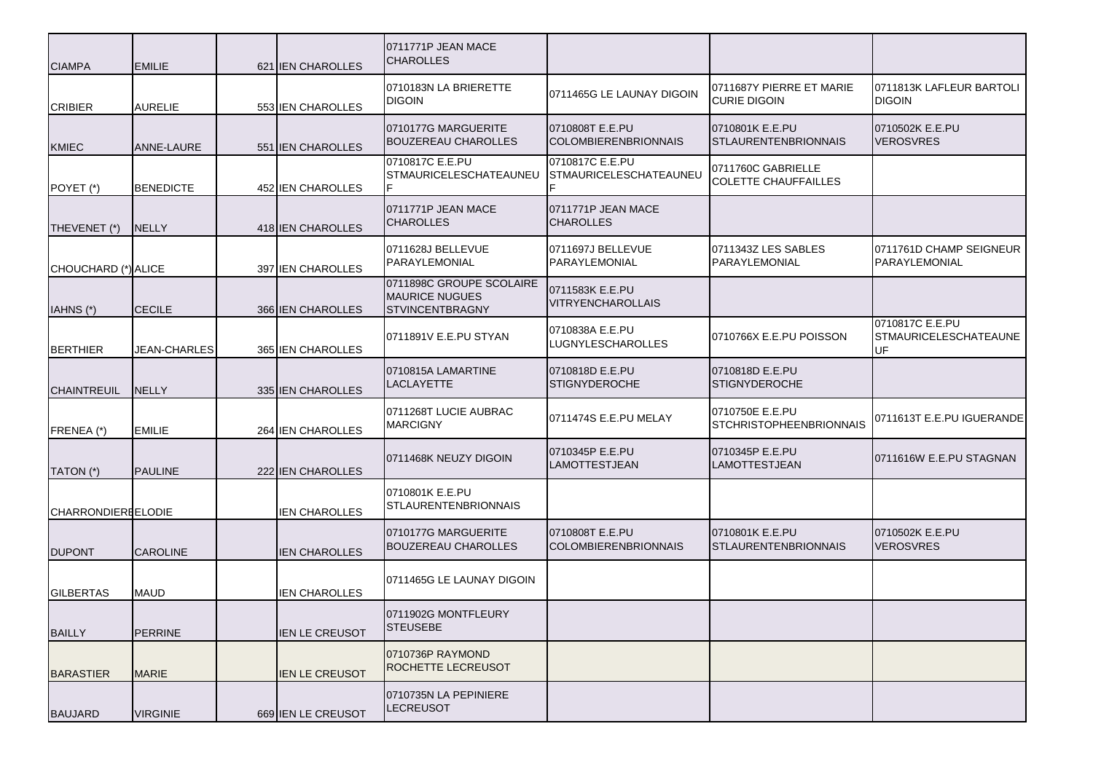| <b>CIAMPA</b>             | <b>EMILIE</b>       | 621 IEN CHAROLLES     | 0711771P JEAN MACE<br><b>CHAROLLES</b>                                      |                                                  |                                                   |                                                       |
|---------------------------|---------------------|-----------------------|-----------------------------------------------------------------------------|--------------------------------------------------|---------------------------------------------------|-------------------------------------------------------|
| <b>CRIBIER</b>            | <b>AURELIE</b>      | 553 IEN CHAROLLES     | 0710183N LA BRIERETTE<br><b>DIGOIN</b>                                      | 0711465G LE LAUNAY DIGOIN                        | 0711687Y PIERRE ET MARIE<br><b>CURIE DIGOIN</b>   | 0711813K LAFLEUR BARTOLI<br><b>DIGOIN</b>             |
| <b>KMIEC</b>              | <b>ANNE-LAURE</b>   | 551 IEN CHAROLLES     | 0710177G MARGUERITE<br><b>BOUZEREAU CHAROLLES</b>                           | 0710808T E.E.PU<br><b>COLOMBIERENBRIONNAIS</b>   | 0710801K E.E.PU<br><b>STLAURENTENBRIONNAIS</b>    | 0710502K E.E.PU<br><b>VEROSVRES</b>                   |
| POYET (*)                 | <b>BENEDICTE</b>    | 452 IEN CHAROLLES     | 0710817C E.E.PU<br><b>STMAURICELESCHATEAUNEU</b>                            | 0710817C E.E.PU<br><b>STMAURICELESCHATEAUNEU</b> | 0711760C GABRIELLE<br><b>COLETTE CHAUFFAILLES</b> |                                                       |
| THEVENET (*)              | <b>NELLY</b>        | 418 JEN CHAROLLES     | 0711771P JEAN MACE<br><b>CHAROLLES</b>                                      | 0711771P JEAN MACE<br><b>CHAROLLES</b>           |                                                   |                                                       |
| CHOUCHARD (*) ALICE       |                     | 397 JEN CHAROLLES     | 0711628J BELLEVUE<br>PARAYLEMONIAL                                          | 0711697J BELLEVUE<br>PARAYLEMONIAL               | 0711343Z LES SABLES<br>PARAYLEMONIAL              | 0711761D CHAMP SEIGNEUR<br>PARAYLEMONIAL              |
| IAHNS (*)                 | <b>CECILE</b>       | 366 JEN CHAROLLES     | 0711898C GROUPE SCOLAIRE<br><b>MAURICE NUGUES</b><br><b>STVINCENTBRAGNY</b> | 0711583K E.E.PU<br><b>VITRYENCHAROLLAIS</b>      |                                                   |                                                       |
| <b>BERTHIER</b>           | <b>JEAN-CHARLES</b> | 365 IEN CHAROLLES     | 0711891V E.E.PU STYAN                                                       | 0710838A E.E.PU<br><b>LUGNYLESCHAROLLES</b>      | 0710766X E.E.PU POISSON                           | 0710817C E.E.PU<br><b>STMAURICELESCHATEAUNE</b><br>UF |
| <b>CHAINTREUIL</b>        | <b>NELLY</b>        | 335 IEN CHAROLLES     | 0710815A LAMARTINE<br><b>LACLAYETTE</b>                                     | 0710818D E.E.PU<br><b>STIGNYDEROCHE</b>          | 0710818D E.E.PU<br><b>STIGNYDEROCHE</b>           |                                                       |
| FRENEA (*)                | <b>EMILIE</b>       | 264 IEN CHAROLLES     | 0711268T LUCIE AUBRAC<br><b>MARCIGNY</b>                                    | 0711474S E.E.PU MELAY                            | 0710750E E.E.PU<br><b>STCHRISTOPHEENBRIONNAIS</b> | 0711613T E.E.PU IGUERANDE                             |
| TATON (*)                 | PAULINE             | 222 IEN CHAROLLES     | 0711468K NEUZY DIGOIN                                                       | 0710345P E.E.PU<br><b>LAMOTTESTJEAN</b>          | 0710345P E.E.PU<br>LAMOTTESTJEAN                  | 0711616W E.E.PU STAGNAN                               |
| <b>CHARRONDIEREELODIE</b> |                     | <b>IEN CHAROLLES</b>  | 0710801K E.E.PU<br><b>STLAURENTENBRIONNAIS</b>                              |                                                  |                                                   |                                                       |
| <b>DUPONT</b>             | <b>CAROLINE</b>     | <b>IEN CHAROLLES</b>  | 0710177G MARGUERITE<br><b>BOUZEREAU CHAROLLES</b>                           | 0710808T E.E.PU<br><b>COLOMBIERENBRIONNAIS</b>   | 0710801K E.E.PU<br><b>STLAURENTENBRIONNAIS</b>    | 0710502K E.E.PU<br><b>VEROSVRES</b>                   |
| <b>GILBERTAS</b>          | MAUD                | <b>IEN CHAROLLES</b>  | 0711465G LE LAUNAY DIGOIN                                                   |                                                  |                                                   |                                                       |
| <b>BAILLY</b>             | <b>PERRINE</b>      | <b>IEN LE CREUSOT</b> | 0711902G MONTFLEURY<br><b>STEUSEBE</b>                                      |                                                  |                                                   |                                                       |
| <b>BARASTIER</b>          | <b>MARIE</b>        | <b>IEN LE CREUSOT</b> | 0710736P RAYMOND<br>ROCHETTE LECREUSOT                                      |                                                  |                                                   |                                                       |
| <b>BAUJARD</b>            | <b>VIRGINIE</b>     | 669 IEN LE CREUSOT    | 0710735N LA PEPINIERE<br><b>LECREUSOT</b>                                   |                                                  |                                                   |                                                       |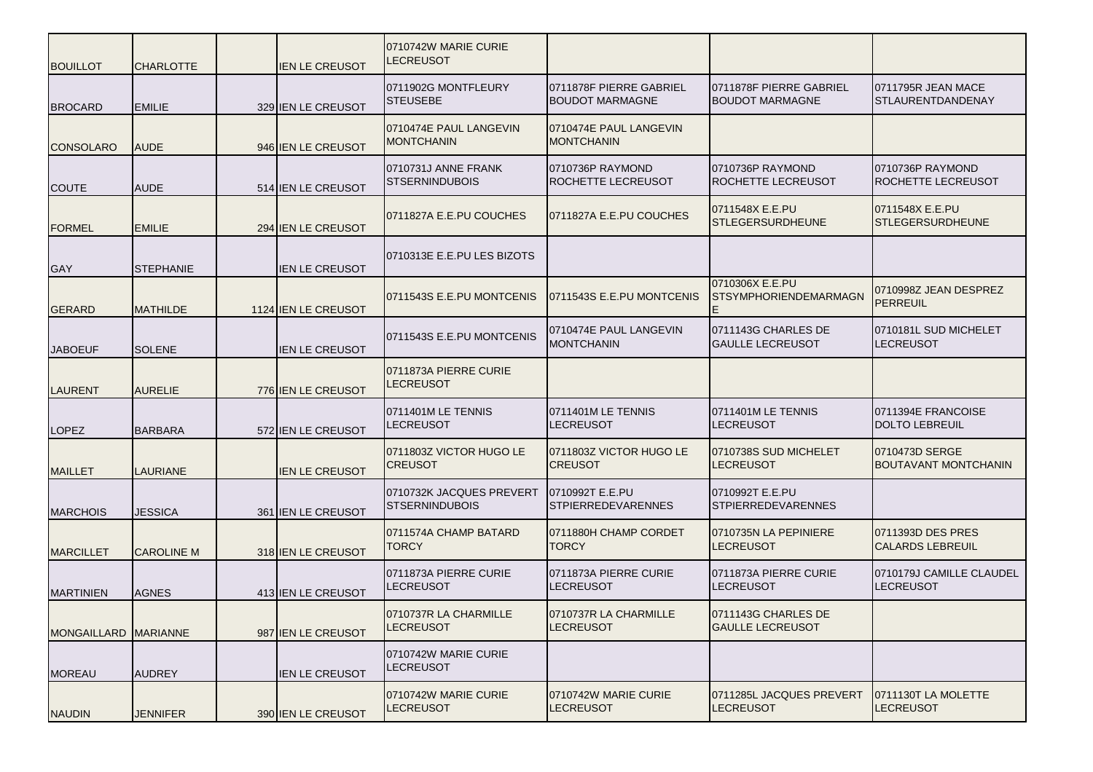| <b>BOUILLOT</b>      | <b>CHARLOTTE</b>  | <b>IEN LE CREUSOT</b> | 0710742W MARIE CURIE<br><b>LECREUSOT</b>          |                                              |                                                   |                                                |
|----------------------|-------------------|-----------------------|---------------------------------------------------|----------------------------------------------|---------------------------------------------------|------------------------------------------------|
| <b>BROCARD</b>       | <b>EMILIE</b>     | 329 IEN LE CREUSOT    | 0711902G MONTFLEURY<br><b>STEUSEBE</b>            | 0711878F PIERRE GABRIEL<br>BOUDOT MARMAGNE   | 0711878F PIERRE GABRIEL<br><b>BOUDOT MARMAGNE</b> | 0711795R JEAN MACE<br><b>STLAURENTDANDENAY</b> |
| <b>CONSOLARO</b>     | <b>AUDE</b>       | 946 JIEN LE CREUSOT   | 0710474E PAUL LANGEVIN<br><b>MONTCHANIN</b>       | 0710474E PAUL LANGEVIN<br>MONTCHANIN         |                                                   |                                                |
| <b>COUTE</b>         | <b>AUDE</b>       | 514 IEN LE CREUSOT    | 0710731J ANNE FRANK<br><b>STSERNINDUBOIS</b>      | 0710736P RAYMOND<br>ROCHETTE LECREUSOT       | 0710736P RAYMOND<br><b>ROCHETTE LECREUSOT</b>     | 0710736P RAYMOND<br>ROCHETTE LECREUSOT         |
| <b>FORMEL</b>        | <b>EMILIE</b>     | 294 JIEN LE CREUSOT   | 0711827A E.E.PU COUCHES                           | 0711827A E.E.PU COUCHES                      | 0711548X E.E.PU<br><b>STLEGERSURDHEUNE</b>        | 0711548X E.E.PU<br><b>STLEGERSURDHEUNE</b>     |
| <b>GAY</b>           | <b>STEPHANIE</b>  | <b>IEN LE CREUSOT</b> | 0710313E E.E.PU LES BIZOTS                        |                                              |                                                   |                                                |
| <b>GERARD</b>        | <b>MATHILDE</b>   | 1124 IEN LE CREUSOT   | 0711543S E.E.PU MONTCENIS                         | 0711543S E.E.PU MONTCENIS                    | 0710306X E.E.PU<br><b>STSYMPHORIENDEMARMAGN</b>   | 0710998Z JEAN DESPREZ<br><b>PERREUIL</b>       |
| <b>JABOEUF</b>       | <b>SOLENE</b>     | <b>IEN LE CREUSOT</b> | 0711543S E.E.PU MONTCENIS                         | 0710474E PAUL LANGEVIN<br><b>MONTCHANIN</b>  | 0711143G CHARLES DE<br><b>GAULLE LECREUSOT</b>    | 0710181L SUD MICHELET<br><b>LECREUSOT</b>      |
| LAURENT              | <b>AURELIE</b>    | 776 IEN LE CREUSOT    | 0711873A PIERRE CURIE<br><b>LECREUSOT</b>         |                                              |                                                   |                                                |
| <b>LOPEZ</b>         | <b>BARBARA</b>    | 572 JIEN LE CREUSOT   | 0711401M LE TENNIS<br><b>LECREUSOT</b>            | 0711401M LE TENNIS<br>LECREUSOT              | 0711401M LE TENNIS<br><b>LECREUSOT</b>            | 0711394E FRANCOISE<br><b>DOLTO LEBREUIL</b>    |
| <b>MAILLET</b>       | <b>LAURIANE</b>   | <b>IEN LE CREUSOT</b> | 0711803Z VICTOR HUGO LE<br><b>CREUSOT</b>         | 0711803Z VICTOR HUGO LE<br><b>CREUSOT</b>    | 0710738S SUD MICHELET<br><b>LECREUSOT</b>         | 0710473D SERGE<br><b>BOUTAVANT MONTCHANIN</b>  |
| <b>MARCHOIS</b>      | <b>JESSICA</b>    | 361 JIEN LE CREUSOT   | 0710732K JACQUES PREVERT<br><b>STSERNINDUBOIS</b> | 0710992T E.E.PU<br><b>STPIERREDEVARENNES</b> | 0710992T E.E.PU<br><b>STPIERREDEVARENNES</b>      |                                                |
| <b>MARCILLET</b>     | <b>CAROLINE M</b> | 318 JIEN LE CREUSOT   | 0711574A CHAMP BATARD<br>TORCY                    | 0711880H CHAMP CORDET<br><b>TORCY</b>        | 0710735N LA PEPINIERE<br><b>LECREUSOT</b>         | 0711393D DES PRES<br><b>CALARDS LEBREUIL</b>   |
| <b>MARTINIEN</b>     | <b>AGNES</b>      | 413 IEN LE CREUSOT    | 0711873A PIERRE CURIE<br><b>LECREUSOT</b>         | 0711873A PIERRE CURIE<br>ECREUSOT.           | 0711873A PIERRE CURIE<br><b>LECREUSOT</b>         | 0710179J CAMILLE CLAUDEL<br>LECREUSOT          |
| MONGAILLARD MARIANNE |                   | 987 IEN LE CREUSOT    | 0710737R LA CHARMILLE<br><b>LECREUSOT</b>         | 0710737R LA CHARMILLE<br><b>LECREUSOT</b>    | 0711143G CHARLES DE<br><b>GAULLE LECREUSOT</b>    |                                                |
| <b>MOREAU</b>        | <b>AUDREY</b>     | <b>IEN LE CREUSOT</b> | 0710742W MARIE CURIE<br><b>LECREUSOT</b>          |                                              |                                                   |                                                |
| <b>NAUDIN</b>        | <b>JENNIFER</b>   | 390 IEN LE CREUSOT    | 0710742W MARIE CURIE<br><b>LECREUSOT</b>          | 0710742W MARIE CURIE<br>LECREUSOT            | 0711285L JACQUES PREVERT<br><b>LECREUSOT</b>      | 0711130T LA MOLETTE<br><b>LECREUSOT</b>        |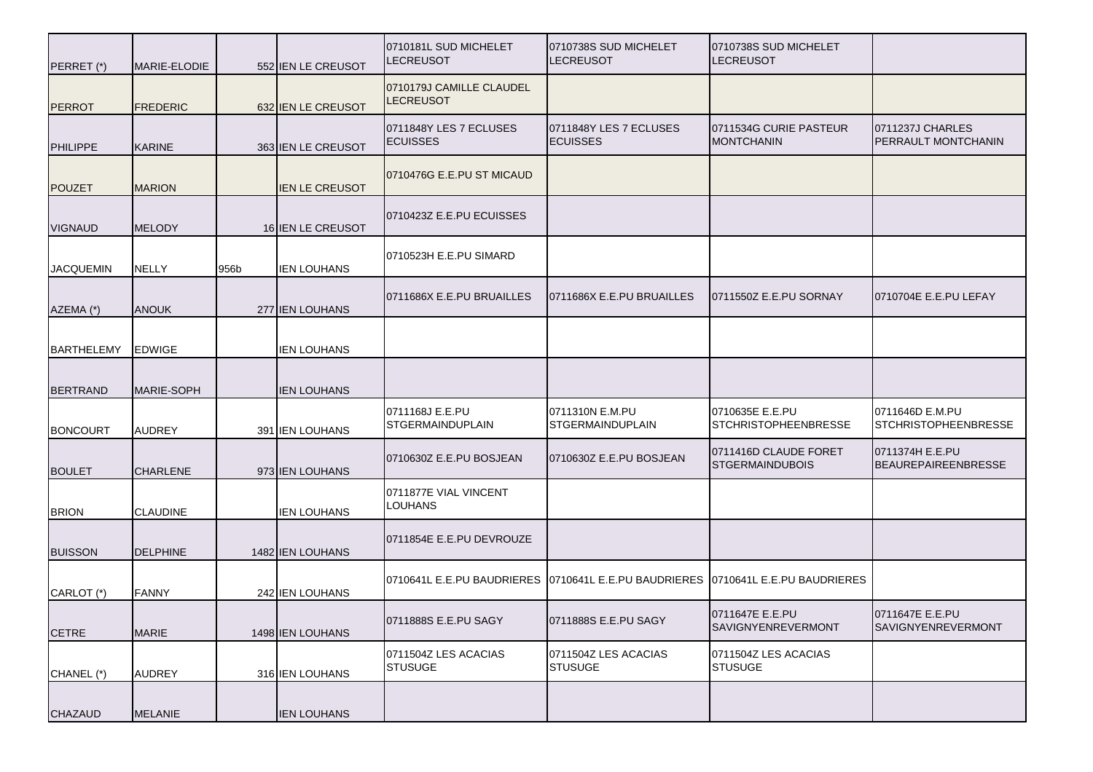| PERRET (*)        | MARIE-ELODIE    |      | 552 IEN LE CREUSOT | 0710181L SUD MICHELET<br><b>LECREUSOT</b>    | 0710738S SUD MICHELET<br>LECREUSOT         | 0710738S SUD MICHELET<br><b>LECREUSOT</b>       |                                                |
|-------------------|-----------------|------|--------------------|----------------------------------------------|--------------------------------------------|-------------------------------------------------|------------------------------------------------|
| <b>PERROT</b>     | <b>FREDERIC</b> |      | 632 IEN LE CREUSOT | 0710179J CAMILLE CLAUDEL<br><b>LECREUSOT</b> |                                            |                                                 |                                                |
| <b>PHILIPPE</b>   | <b>KARINE</b>   |      | 363 IEN LE CREUSOT | 0711848Y LES 7 ECLUSES<br><b>ECUISSES</b>    | 0711848Y LES 7 ECLUSES<br><b>ECUISSES</b>  | 0711534G CURIE PASTEUR<br><b>MONTCHANIN</b>     | 0711237J CHARLES<br><b>PERRAULT MONTCHANIN</b> |
| <b>POUZET</b>     | <b>MARION</b>   |      | IEN LE CREUSOT     | 0710476G E.E.PU ST MICAUD                    |                                            |                                                 |                                                |
| <b>VIGNAUD</b>    | <b>MELODY</b>   |      | 16 IEN LE CREUSOT  | 0710423Z E.E.PU ECUISSES                     |                                            |                                                 |                                                |
| <b>JACQUEMIN</b>  | NELLY           | 956b | IEN LOUHANS        | 0710523H E.E.PU SIMARD                       |                                            |                                                 |                                                |
| AZEMA (*)         | <b>ANOUK</b>    |      | 277 JEN LOUHANS    | 0711686X E.E.PU BRUAILLES                    | 0711686X E.E.PU BRUAILLES                  | 0711550Z E.E.PU SORNAY                          | 0710704E E.E.PU LEFAY                          |
| <b>BARTHELEMY</b> | <b>EDWIGE</b>   |      | <b>IEN LOUHANS</b> |                                              |                                            |                                                 |                                                |
| <b>BERTRAND</b>   | MARIE-SOPH      |      | <b>IEN LOUHANS</b> |                                              |                                            |                                                 |                                                |
| <b>BONCOURT</b>   | <b>AUDREY</b>   |      | 391 IEN LOUHANS    | 0711168J E.E.PU<br><b>STGERMAINDUPLAIN</b>   | 0711310N E.M.PU<br><b>STGERMAINDUPLAIN</b> | 0710635E E.E.PU<br><b>STCHRISTOPHEENBRESSE</b>  | 0711646D E.M.PU<br><b>STCHRISTOPHEENBRESSE</b> |
| <b>BOULET</b>     | <b>CHARLENE</b> |      | 973 IEN LOUHANS    | 0710630Z E.E.PU BOSJEAN                      | 0710630Z E.E.PU BOSJEAN                    | 0711416D CLAUDE FORET<br><b>STGERMAINDUBOIS</b> | 0711374H E.E.PU<br>BEAUREPAIREENBRESSE         |
| <b>BRION</b>      | <b>CLAUDINE</b> |      | <b>IEN LOUHANS</b> | 0711877E VIAL VINCENT<br><b>LOUHANS</b>      |                                            |                                                 |                                                |
| <b>BUISSON</b>    | <b>DELPHINE</b> |      | 1482 IEN LOUHANS   | 0711854E E.E.PU DEVROUZE                     |                                            |                                                 |                                                |
| CARLOT (*)        | <b>FANNY</b>    |      | 242 IEN LOUHANS    | 0710641L E.E.PU BAUDRIERES                   | 0710641L E.E.PU BAUDRIERES                 | 0710641L E.E.PU BAUDRIERES                      |                                                |
| <b>CETRE</b>      | <b>MARIE</b>    |      | 1498 IEN LOUHANS   | 0711888S E.E.PU SAGY                         | 0711888S E.E.PU SAGY                       | 0711647E E.E.PU<br>SAVIGNYENREVERMONT           | 0711647E E.E.PU<br>SAVIGNYENREVERMONT          |
| CHANEL (*)        | <b>AUDREY</b>   |      | 316 IEN LOUHANS    | 0711504Z LES ACACIAS<br><b>STUSUGE</b>       | 0711504Z LES ACACIAS<br><b>STUSUGE</b>     | 0711504Z LES ACACIAS<br><b>STUSUGE</b>          |                                                |
| CHAZAUD           | <b>MELANIE</b>  |      | <b>IEN LOUHANS</b> |                                              |                                            |                                                 |                                                |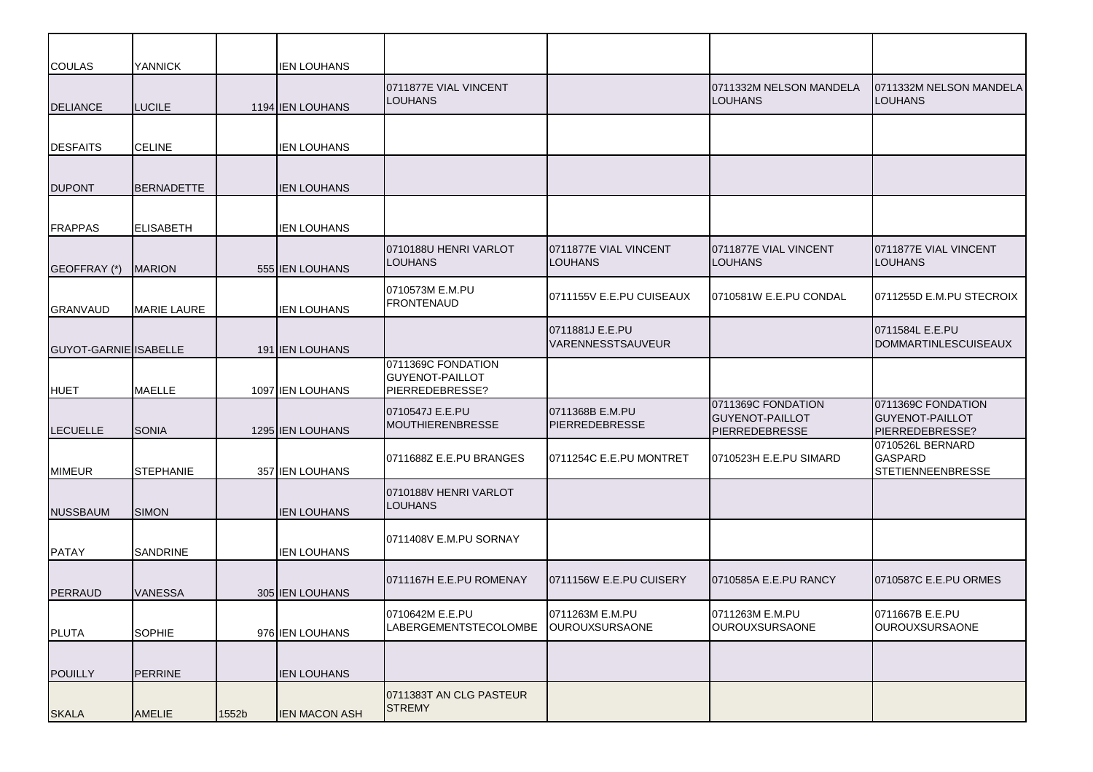| <b>COULAS</b>         | <b>YANNICK</b>     |       | <b>IEN LOUHANS</b>     |                                                                 |                                          |                                                                |                                                                 |
|-----------------------|--------------------|-------|------------------------|-----------------------------------------------------------------|------------------------------------------|----------------------------------------------------------------|-----------------------------------------------------------------|
| <b>DELIANCE</b>       | <b>LUCILE</b>      |       | 1194 IEN LOUHANS       | 0711877E VIAL VINCENT<br><b>LOUHANS</b>                         |                                          | 0711332M NELSON MANDELA<br><b>LOUHANS</b>                      | 0711332M NELSON MANDELA<br><b>LOUHANS</b>                       |
| <b>DESFAITS</b>       | <b>CELINE</b>      |       | <b>IEN LOUHANS</b>     |                                                                 |                                          |                                                                |                                                                 |
| <b>DUPONT</b>         | <b>BERNADETTE</b>  |       | <b>IEN LOUHANS</b>     |                                                                 |                                          |                                                                |                                                                 |
| <b>FRAPPAS</b>        | <b>ELISABETH</b>   |       | <b>IEN LOUHANS</b>     |                                                                 |                                          |                                                                |                                                                 |
| GEOFFRAY (*)          | <b>MARION</b>      |       | 555 IEN LOUHANS        | 0710188U HENRI VARLOT<br>LOUHANS                                | 0711877E VIAL VINCENT<br><b>LOUHANS</b>  | 0711877E VIAL VINCENT<br>LOUHANS                               | 0711877E VIAL VINCENT<br><b>LOUHANS</b>                         |
| <b>GRANVAUD</b>       | <b>MARIE LAURE</b> |       | <b>IEN LOUHANS</b>     | 0710573M E.M.PU<br><b>FRONTENAUD</b>                            | 0711155V E.E.PU CUISEAUX                 | 0710581W E.E.PU CONDAL                                         | 0711255D E.M.PU STECROIX                                        |
| GUYOT-GARNIE ISABELLE |                    |       | <b>191 IEN LOUHANS</b> |                                                                 | 0711881J E.E.PU<br>VARENNESSTSAUVEUR     |                                                                | 0711584L E.E.PU<br><b>DOMMARTINLESCUISEAUX</b>                  |
| <b>HUET</b>           | <b>MAELLE</b>      |       | 1097 IEN LOUHANS       | 0711369C FONDATION<br><b>GUYENOT-PAILLOT</b><br>PIERREDEBRESSE? |                                          |                                                                |                                                                 |
| <b>LECUELLE</b>       | <b>SONIA</b>       |       | 1295 IEN LOUHANS       | 0710547J E.E.PU<br><b>MOUTHIERENBRESSE</b>                      | 0711368B E.M.PU<br><b>PIERREDEBRESSE</b> | 0711369C FONDATION<br><b>GUYENOT-PAILLOT</b><br>PIERREDEBRESSE | 0711369C FONDATION<br><b>GUYENOT-PAILLOT</b><br>PIERREDEBRESSE? |
| <b>MIMEUR</b>         | <b>STEPHANIE</b>   |       | 357 IEN LOUHANS        | 0711688Z E.E.PU BRANGES                                         | 0711254C E.E.PU MONTRET                  | 0710523H E.E.PU SIMARD                                         | 0710526L BERNARD<br><b>GASPARD</b><br><b>STETIENNEENBRESSE</b>  |
| <b>NUSSBAUM</b>       | <b>SIMON</b>       |       | <b>IEN LOUHANS</b>     | 0710188V HENRI VARLOT<br><b>LOUHANS</b>                         |                                          |                                                                |                                                                 |
| <b>PATAY</b>          | SANDRINE           |       | <b>IEN LOUHANS</b>     | 0711408V E.M.PU SORNAY                                          |                                          |                                                                |                                                                 |
| PERRAUD               | <b>VANESSA</b>     |       | 305 IEN LOUHANS        | 0711167H E.E.PU ROMENAY                                         | 0711156W E.E.PU CUISERY                  | 0710585A E.E.PU RANCY                                          | 0710587C E.E.PU ORMES                                           |
| <b>PLUTA</b>          | <b>SOPHIE</b>      |       | 976 IEN LOUHANS        | 0710642M E.E.PU<br>LABERGEMENTSTECOLOMBE                        | 0711263M E.M.PU<br>OUROUXSURSAONE        | 0711263M E.M.PU<br>OUROUXSURSAONE                              | 0711667B E.E.PU<br>OUROUXSURSAONE                               |
| <b>POUILLY</b>        | PERRINE            |       | <b>IEN LOUHANS</b>     |                                                                 |                                          |                                                                |                                                                 |
| <b>SKALA</b>          | AMELIE             | 1552b | <b>IEN MACON ASH</b>   | 0711383T AN CLG PASTEUR<br><b>STREMY</b>                        |                                          |                                                                |                                                                 |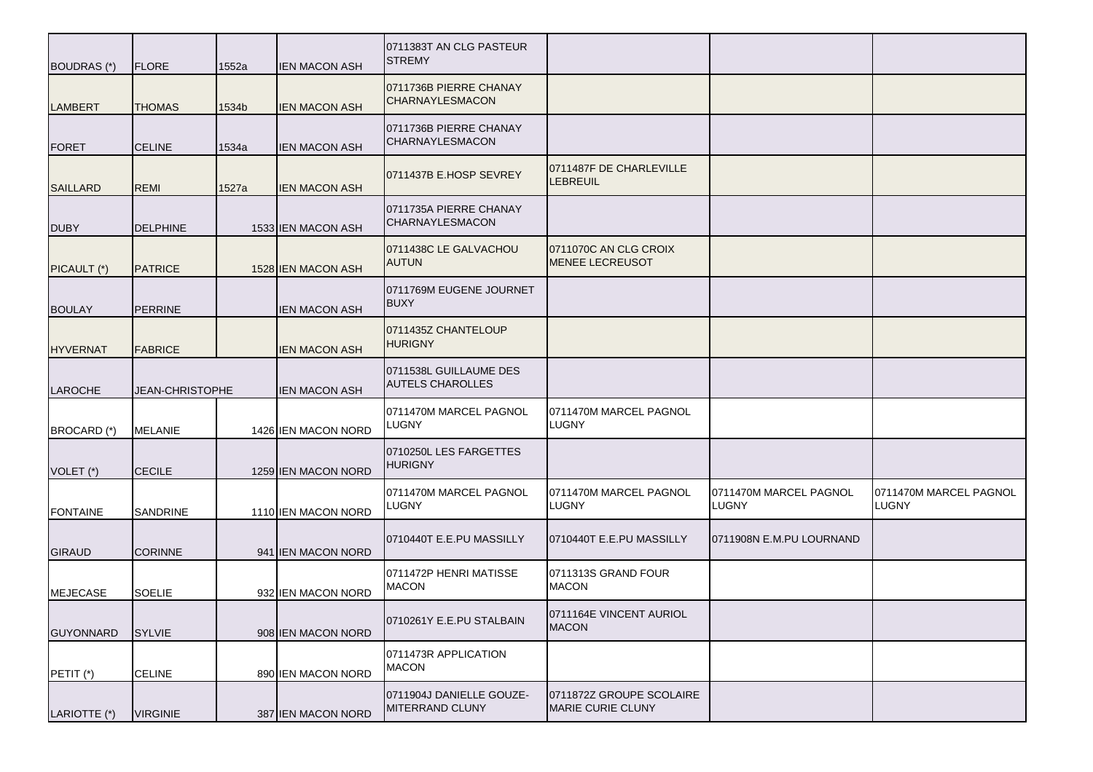| BOUDRAS (*)      | <b>FLORE</b>    | 1552a | <b>IEN MACON ASH</b> | 0711383T AN CLG PASTEUR<br><b>STREMY</b>          |                                                 |                                        |                                 |
|------------------|-----------------|-------|----------------------|---------------------------------------------------|-------------------------------------------------|----------------------------------------|---------------------------------|
| <b>LAMBERT</b>   | <b>THOMAS</b>   | 1534b | <b>IEN MACON ASH</b> | 0711736B PIERRE CHANAY<br><b>CHARNAYLESMACON</b>  |                                                 |                                        |                                 |
| <b>FORET</b>     | <b>CELINE</b>   | 1534a | <b>IEN MACON ASH</b> | 0711736B PIERRE CHANAY<br><b>CHARNAYLESMACON</b>  |                                                 |                                        |                                 |
| <b>SAILLARD</b>  | <b>REMI</b>     | 1527a | <b>IEN MACON ASH</b> | 0711437B E.HOSP SEVREY                            | 0711487F DE CHARLEVILLE<br>LEBREUIL             |                                        |                                 |
| <b>DUBY</b>      | <b>DELPHINE</b> |       | 1533 IEN MACON ASH   | 0711735A PIERRE CHANAY<br><b>CHARNAYLESMACON</b>  |                                                 |                                        |                                 |
| PICAULT (*)      | <b>PATRICE</b>  |       | 1528 IEN MACON ASH   | 0711438C LE GALVACHOU<br><b>AUTUN</b>             | 0711070C AN CLG CROIX<br><b>MENEE LECREUSOT</b> |                                        |                                 |
| <b>BOULAY</b>    | <b>PERRINE</b>  |       | <b>IEN MACON ASH</b> | 0711769M EUGENE JOURNET<br><b>BUXY</b>            |                                                 |                                        |                                 |
| <b>HYVERNAT</b>  | <b>FABRICE</b>  |       | <b>IEN MACON ASH</b> | 0711435Z CHANTELOUP<br><b>HURIGNY</b>             |                                                 |                                        |                                 |
| <b>LAROCHE</b>   | JEAN-CHRISTOPHE |       | IEN MACON ASH        | 0711538L GUILLAUME DES<br><b>AUTELS CHAROLLES</b> |                                                 |                                        |                                 |
| BROCARD (*)      | MELANIE         |       | 1426 IEN MACON NORD  | 0711470M MARCEL PAGNOL<br><b>LUGNY</b>            | 0711470M MARCEL PAGNOL<br>LUGNY                 |                                        |                                 |
| VOLET (*)        | <b>CECILE</b>   |       | 1259 IEN MACON NORD  | 0710250L LES FARGETTES<br><b>HURIGNY</b>          |                                                 |                                        |                                 |
| <b>FONTAINE</b>  | <b>SANDRINE</b> |       | 1110 IEN MACON NORD  | 0711470M MARCEL PAGNOL<br><b>LUGNY</b>            | 0711470M MARCEL PAGNOL<br>LUGNY                 | 0711470M MARCEL PAGNOL<br><b>LUGNY</b> | 0711470M MARCEL PAGNOL<br>LUGNY |
| <b>GIRAUD</b>    | <b>CORINNE</b>  |       | 941 IEN MACON NORD   | 0710440T E.E.PU MASSILLY                          | 0710440T E.E.PU MASSILLY                        | 0711908N E.M.PU LOURNAND               |                                 |
| <b>MEJECASE</b>  | <b>SOELIE</b>   |       | 932 IEN MACON NORD   | 0711472P HENRI MATISSE<br><b>MACON</b>            | 0711313S GRAND FOUR<br><b>MACON</b>             |                                        |                                 |
| <b>GUYONNARD</b> | <b>SYLVIE</b>   |       | 908 IEN MACON NORD   | 0710261Y E.E.PU STALBAIN                          | 0711164E VINCENT AURIOL<br><b>MACON</b>         |                                        |                                 |
| PETIT (*)        | <b>CELINE</b>   |       | 890 IEN MACON NORD   | 0711473R APPLICATION<br><b>MACON</b>              |                                                 |                                        |                                 |
| LARIOTTE (*)     | <b>VIRGINIE</b> |       | 387 IEN MACON NORD   | 0711904J DANIELLE GOUZE-<br>MITERRAND CLUNY       | 0711872Z GROUPE SCOLAIRE<br>MARIE CURIE CLUNY   |                                        |                                 |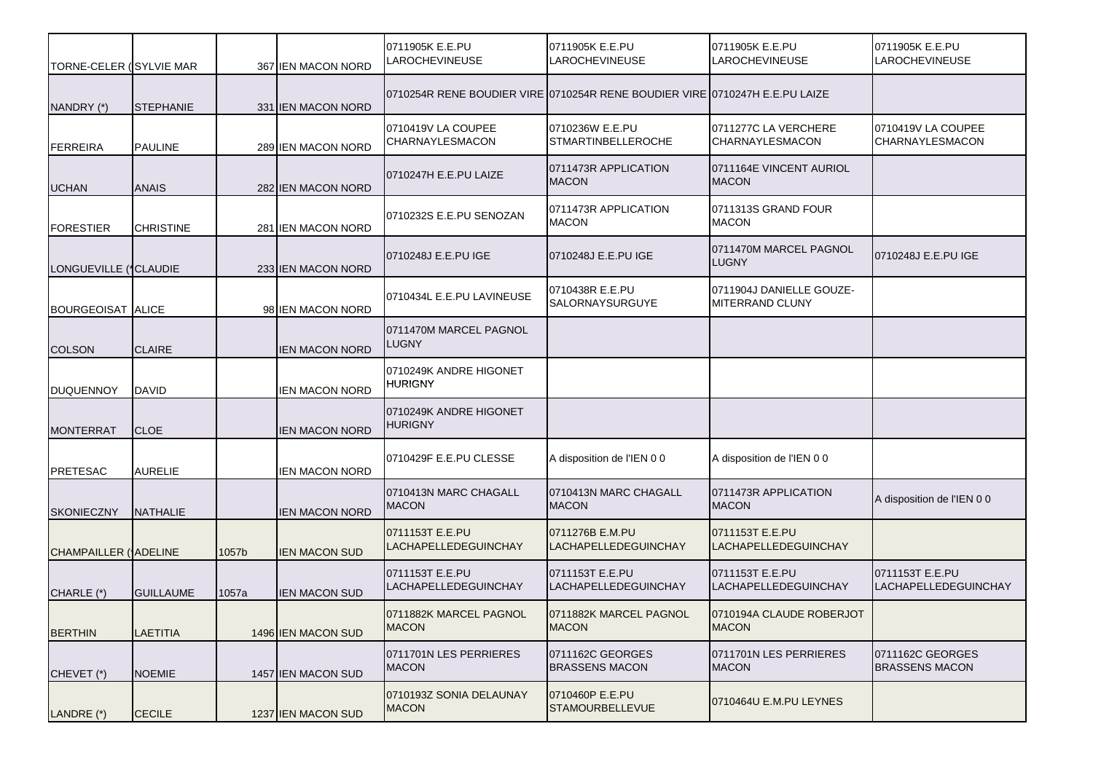| TORNE-CELER (SYLVIE MAR  |                  |       | 367 IEN MACON NORD    | 0711905K E.E.PU<br>LAROCHEVINEUSE        | 0711905K E.E.PU<br><b>LAROCHEVINEUSE</b>                                    | 0711905K E.E.PU<br><b>LAROCHEVINEUSE</b>       | 0711905K E.E.PU<br><b>LAROCHEVINEUSE</b>  |
|--------------------------|------------------|-------|-----------------------|------------------------------------------|-----------------------------------------------------------------------------|------------------------------------------------|-------------------------------------------|
| NANDRY (*)               | <b>STEPHANIE</b> |       | 331 IEN MACON NORD    |                                          | 0710254R RENE BOUDIER VIRE 0710254R RENE BOUDIER VIRE 0710247H E.E.PU LAIZE |                                                |                                           |
| <b>FERREIRA</b>          | <b>PAULINE</b>   |       | 289 IEN MACON NORD    | 0710419V LA COUPEE<br>CHARNAYLESMACON    | 0710236W E.E.PU<br><b>STMARTINBELLEROCHE</b>                                | 0711277C LA VERCHERE<br>CHARNAYLESMACON        | 0710419V LA COUPEE<br>CHARNAYLESMACON     |
| <b>UCHAN</b>             | <b>ANAIS</b>     |       | 282 IEN MACON NORD    | 0710247H E.E.PU LAIZE                    | 0711473R APPLICATION<br><b>MACON</b>                                        | 0711164E VINCENT AURIOL<br><b>MACON</b>        |                                           |
| <b>FORESTIER</b>         | <b>CHRISTINE</b> |       | 281 IEN MACON NORD    | 0710232S E.E.PU SENOZAN                  | 0711473R APPLICATION<br><b>MACON</b>                                        | 0711313S GRAND FOUR<br><b>MACON</b>            |                                           |
| LONGUEVILLE (*CLAUDIE    |                  |       | 233 IEN MACON NORD    | 0710248J E.E.PU IGE                      | 0710248J E.E.PU IGE                                                         | 0711470M MARCEL PAGNOL<br><b>LUGNY</b>         | 0710248J E.E.PU IGE                       |
| <b>BOURGEOISAT ALICE</b> |                  |       | 98 IEN MACON NORD     | 0710434L E.E.PU LAVINEUSE                | 0710438R E.E.PU<br><b>SALORNAYSURGUYE</b>                                   | 0711904J DANIELLE GOUZE-<br>MITERRAND CLUNY    |                                           |
| <b>COLSON</b>            | <b>CLAIRE</b>    |       | <b>IEN MACON NORD</b> | 0711470M MARCEL PAGNOL<br><b>LUGNY</b>   |                                                                             |                                                |                                           |
| <b>DUQUENNOY</b>         | <b>DAVID</b>     |       | <b>IEN MACON NORD</b> | 0710249K ANDRE HIGONET<br><b>HURIGNY</b> |                                                                             |                                                |                                           |
| <b>MONTERRAT</b>         | <b>CLOE</b>      |       | <b>IEN MACON NORD</b> | 0710249K ANDRE HIGONET<br>HURIGNY        |                                                                             |                                                |                                           |
| <b>PRETESAC</b>          | <b>AURELIE</b>   |       | <b>IEN MACON NORD</b> | 0710429F E.E.PU CLESSE                   | A disposition de l'IEN 0 0                                                  | A disposition de l'IEN 0 0                     |                                           |
| <b>SKONIECZNY</b>        | <b>NATHALIE</b>  |       | <b>IEN MACON NORD</b> | 0710413N MARC CHAGALL<br><b>MACON</b>    | 0710413N MARC CHAGALL<br><b>MACON</b>                                       | 0711473R APPLICATION<br><b>MACON</b>           | A disposition de l'IEN 0 0                |
| CHAMPAILLER ('ADELINE    |                  | 1057b | <b>IEN MACON SUD</b>  | 0711153T E.E.PU<br>LACHAPELLEDEGUINCHAY  | 0711276B E.M.PU<br>LACHAPELLEDEGUINCHAY                                     | 0711153T E.E.PU<br><b>LACHAPELLEDEGUINCHAY</b> |                                           |
| CHARLE (*)               | <b>GUILLAUME</b> | 1057a | <b>IEN MACON SUD</b>  | 0711153T E.E.PU<br>LACHAPELLEDEGUINCHAY  | 0711153T E.E.PU<br><b>LACHAPELLEDEGUINCHAY</b>                              | 0711153T E.E.PU<br><b>LACHAPELLEDEGUINCHAY</b> | 0711153T E.E.PU<br>LACHAPELLEDEGUINCHAY   |
| <b>BERTHIN</b>           | <b>LAETITIA</b>  |       | 1496 IEN MACON SUD    | 0711882K MARCEL PAGNOL<br><b>MACON</b>   | 0711882K MARCEL PAGNOL<br><b>MACON</b>                                      | 0710194A CLAUDE ROBERJOT<br><b>MACON</b>       |                                           |
| CHEVET (*)               | <b>NOEMIE</b>    |       | 1457 IEN MACON SUD    | 0711701N LES PERRIERES<br><b>MACON</b>   | 0711162C GEORGES<br><b>BRASSENS MACON</b>                                   | 0711701N LES PERRIERES<br><b>MACON</b>         | 0711162C GEORGES<br><b>BRASSENS MACON</b> |
| LANDRE (*)               | <b>CECILE</b>    |       | 1237 IEN MACON SUD    | 0710193Z SONIA DELAUNAY<br><b>MACON</b>  | 0710460P E.E.PU<br><b>STAMOURBELLEVUE</b>                                   | 0710464U E.M.PU LEYNES                         |                                           |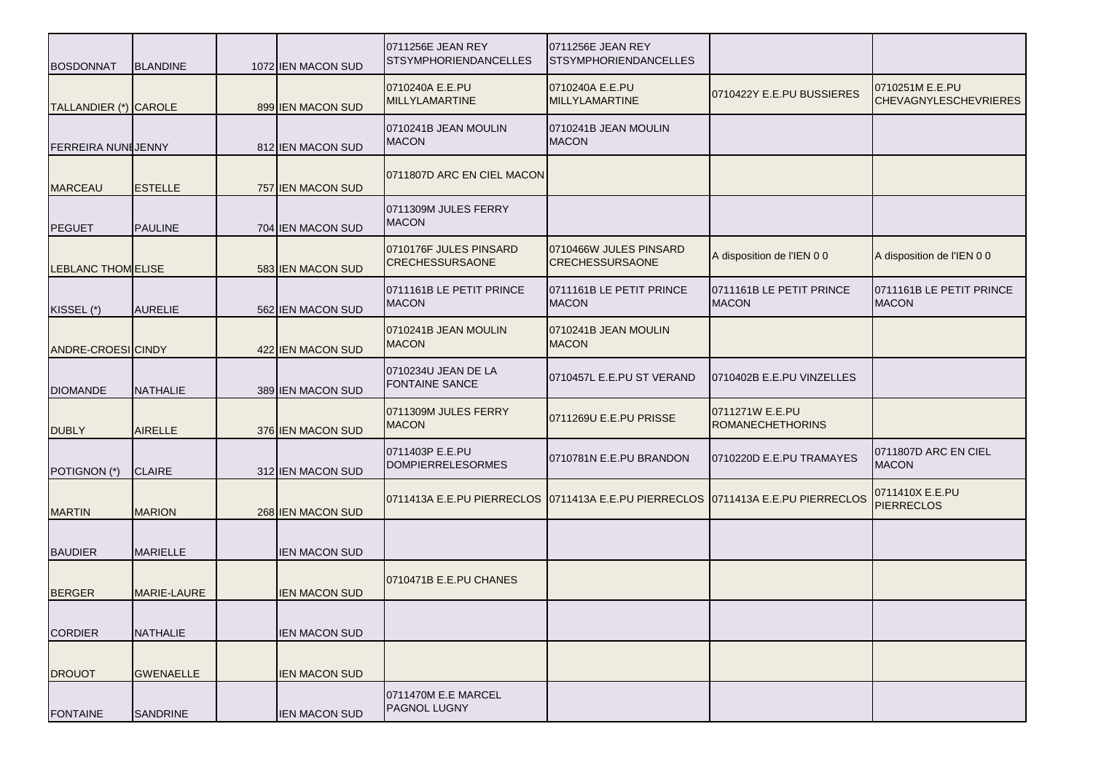| <b>BOSDONNAT</b>          | <b>BLANDINE</b>  | 1072 IEN MACON SUD   | 0711256E JEAN REY<br><b>STSYMPHORIENDANCELLES</b> | 0711256E JEAN REY<br><b>STSYMPHORIENDANCELLES</b>                                |                                            |                                                 |
|---------------------------|------------------|----------------------|---------------------------------------------------|----------------------------------------------------------------------------------|--------------------------------------------|-------------------------------------------------|
| TALLANDIER (*) CAROLE     |                  | 899 IEN MACON SUD    | 0710240A E.E.PU<br><b>MILLYLAMARTINE</b>          | 0710240A E.E.PU<br><b>MILLYLAMARTINE</b>                                         | 0710422Y E.E.PU BUSSIERES                  | 0710251M E.E.PU<br><b>CHEVAGNYLESCHEVRIERES</b> |
| <b>FERREIRA NUNIJENNY</b> |                  | 812 IEN MACON SUD    | 0710241B JEAN MOULIN<br><b>MACON</b>              | 0710241B JEAN MOULIN<br><b>MACON</b>                                             |                                            |                                                 |
| <b>MARCEAU</b>            | <b>ESTELLE</b>   | 757 IEN MACON SUD    | 0711807D ARC EN CIEL MACON                        |                                                                                  |                                            |                                                 |
| <b>PEGUET</b>             | <b>PAULINE</b>   | 704 IEN MACON SUD    | 0711309M JULES FERRY<br><b>MACON</b>              |                                                                                  |                                            |                                                 |
| LEBLANC THOM ELISE        |                  | 583 IEN MACON SUD    | 0710176F JULES PINSARD<br><b>CRECHESSURSAONE</b>  | 0710466W JULES PINSARD<br><b>CRECHESSURSAONE</b>                                 | A disposition de l'IEN 0 0                 | A disposition de l'IEN 0 0                      |
| KISSEL (*)                | <b>AURELIE</b>   | 562 IEN MACON SUD    | 0711161B LE PETIT PRINCE<br><b>MACON</b>          | 0711161B LE PETIT PRINCE<br><b>MACON</b>                                         | 0711161B LE PETIT PRINCE<br><b>MACON</b>   | 0711161B LE PETIT PRINCE<br><b>MACON</b>        |
| ANDRE-CROESI CINDY        |                  | 422 IEN MACON SUD    | 0710241B JEAN MOULIN<br><b>MACON</b>              | 0710241B JEAN MOULIN<br><b>MACON</b>                                             |                                            |                                                 |
| <b>DIOMANDE</b>           | <b>NATHALIE</b>  | 389 IEN MACON SUD    | 0710234U JEAN DE LA<br><b>FONTAINE SANCE</b>      | 0710457L E.E.PU ST VERAND                                                        | 0710402B E.E.PU VINZELLES                  |                                                 |
| <b>DUBLY</b>              | <b>AIRELLE</b>   | 376 IEN MACON SUD    | 0711309M JULES FERRY<br><b>MACON</b>              | 0711269U E.E.PU PRISSE                                                           | 0711271W E.E.PU<br><b>ROMANECHETHORINS</b> |                                                 |
| POTIGNON (*)              | <b>CLAIRE</b>    | 312 IEN MACON SUD    | 0711403P E.E.PU<br><b>DOMPIERRELESORMES</b>       | 0710781N E.E.PU BRANDON                                                          | 0710220D E.E.PU TRAMAYES                   | 0711807D ARC EN CIEL<br><b>MACON</b>            |
| <b>MARTIN</b>             | <b>MARION</b>    | 268 IEN MACON SUD    |                                                   | 0711413A E.E.PU PIERRECLOS 0711413A E.E.PU PIERRECLOS 0711413A E.E.PU PIERRECLOS |                                            | 0711410X E.E.PU<br><b>PIERRECLOS</b>            |
| <b>BAUDIER</b>            | <b>MARIELLE</b>  | <b>IEN MACON SUD</b> |                                                   |                                                                                  |                                            |                                                 |
| <b>BERGER</b>             | MARIE-LAURE      | IEN MACON SUD        | 0710471B E.E.PU CHANES                            |                                                                                  |                                            |                                                 |
| <b>CORDIER</b>            | <b>NATHALIE</b>  | <b>IEN MACON SUD</b> |                                                   |                                                                                  |                                            |                                                 |
| <b>DROUOT</b>             | <b>GWENAELLE</b> | <b>IEN MACON SUD</b> |                                                   |                                                                                  |                                            |                                                 |
| <b>FONTAINE</b>           | <b>SANDRINE</b>  | <b>IEN MACON SUD</b> | 0711470M E.E MARCEL<br><b>PAGNOL LUGNY</b>        |                                                                                  |                                            |                                                 |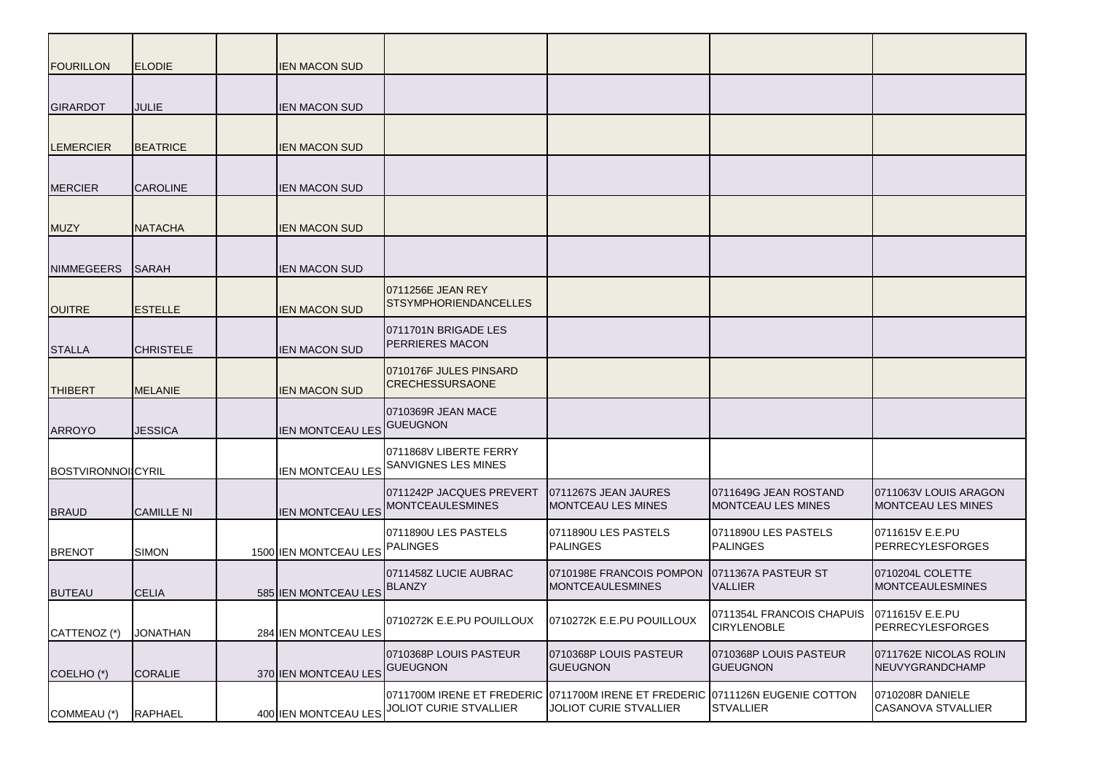| <b>FOURILLON</b>         | <b>ELODIE</b>     | IEN MACON SUD                  |                                                                           |                                                             |                                                          |                                                    |
|--------------------------|-------------------|--------------------------------|---------------------------------------------------------------------------|-------------------------------------------------------------|----------------------------------------------------------|----------------------------------------------------|
| <b>GIRARDOT</b>          | JULIE             | IEN MACON SUD                  |                                                                           |                                                             |                                                          |                                                    |
| <b>LEMERCIER</b>         | <b>BEATRICE</b>   | IEN MACON SUD                  |                                                                           |                                                             |                                                          |                                                    |
| <b>MERCIER</b>           | <b>CAROLINE</b>   | <b>IEN MACON SUD</b>           |                                                                           |                                                             |                                                          |                                                    |
| <b>MUZY</b>              | <b>NATACHA</b>    | IEN MACON SUD                  |                                                                           |                                                             |                                                          |                                                    |
| <b>NIMMEGEERS</b>        | <b>SARAH</b>      | IEN MACON SUD                  |                                                                           |                                                             |                                                          |                                                    |
| <b>OUITRE</b>            | <b>ESTELLE</b>    | <b>IEN MACON SUD</b>           | 0711256E JEAN REY<br><b>STSYMPHORIENDANCELLES</b>                         |                                                             |                                                          |                                                    |
| <b>STALLA</b>            | <b>CHRISTELE</b>  | IEN MACON SUD                  | 0711701N BRIGADE LES<br><b>PERRIERES MACON</b>                            |                                                             |                                                          |                                                    |
| <b>THIBERT</b>           | <b>MELANIE</b>    | <b>IEN MACON SUD</b>           | 0710176F JULES PINSARD<br><b>CRECHESSURSAONE</b>                          |                                                             |                                                          |                                                    |
| <b>ARROYO</b>            | <b>JESSICA</b>    | <b>IEN MONTCEAU LES</b>        | 0710369R JEAN MACE<br><b>GUEUGNON</b>                                     |                                                             |                                                          |                                                    |
| <b>BOSTVIRONNOICYRIL</b> |                   | <b>IEN MONTCEAU LES</b>        | 0711868V LIBERTE FERRY<br>SANVIGNES LES MINES                             |                                                             |                                                          |                                                    |
| <b>BRAUD</b>             | <b>CAMILLE NI</b> |                                | 0711242P JACQUES PREVERT<br>IEN MONTCEAU LES MONTCEAULESMINES             | 0711267S JEAN JAURES<br><b>MONTCEAU LES MINES</b>           | 0711649G JEAN ROSTAND<br><b>MONTCEAU LES MINES</b>       | 0711063V LOUIS ARAGON<br><b>MONTCEAU LES MINES</b> |
| <b>BRENOT</b>            | <b>SIMON</b>      | 1500 IEN MONTCEAU LES PALINGES | 0711890U LES PASTELS                                                      | 0711890U LES PASTELS<br><b>PALINGES</b>                     | 0711890U LES PASTELS<br><b>PALINGES</b>                  | 0711615V E.E.PU<br><b>PERRECYLESFORGES</b>         |
| <b>BUTEAU</b>            | <b>CELIA</b>      | 585 IEN MONTCEAU LES           | 0711458Z LUCIE AUBRAC<br><b>BLANZY</b>                                    | 0710198E FRANCOIS POMPON<br>MONTCEAULESMINES                | 0711367A PASTEUR ST<br><b>VALLIER</b>                    | 0710204L COLETTE<br><b>MONTCEAULESMINES</b>        |
| CATTENOZ (*)             | <b>JONATHAN</b>   | 284 IEN MONTCEAU LES           | 0710272K E.E.PU POUILLOUX                                                 | 0710272K E.E.PU POUILLOUX                                   | 0711354L FRANCOIS CHAPUIS 0711615V E.E.PU<br>CIRYLENOBLE | PERRECYLESFORGES                                   |
| COELHO (*)               | <b>CORALIE</b>    | 370 IEN MONTCEAU LES           | 0710368P LOUIS PASTEUR<br><b>GUEUGNON</b>                                 | 0710368P LOUIS PASTEUR<br><b>GUEUGNON</b>                   | 0710368P LOUIS PASTEUR<br><b>GUEUGNON</b>                | 0711762E NICOLAS ROLIN<br>NEUVYGRANDCHAMP          |
| COMMEAU (*)              | <b>RAPHAEL</b>    |                                | 0711700M IRENE ET FREDERIC<br>400 IEN MONTCEAU LES JOLIOT CURIE STVALLIER | 0711700M IRENE ET FREDERIC<br><b>JOLIOT CURIE STVALLIER</b> | 0711126N EUGENIE COTTON<br><b>STVALLIER</b>              | 0710208R DANIELE<br><b>CASANOVA STVALLIER</b>      |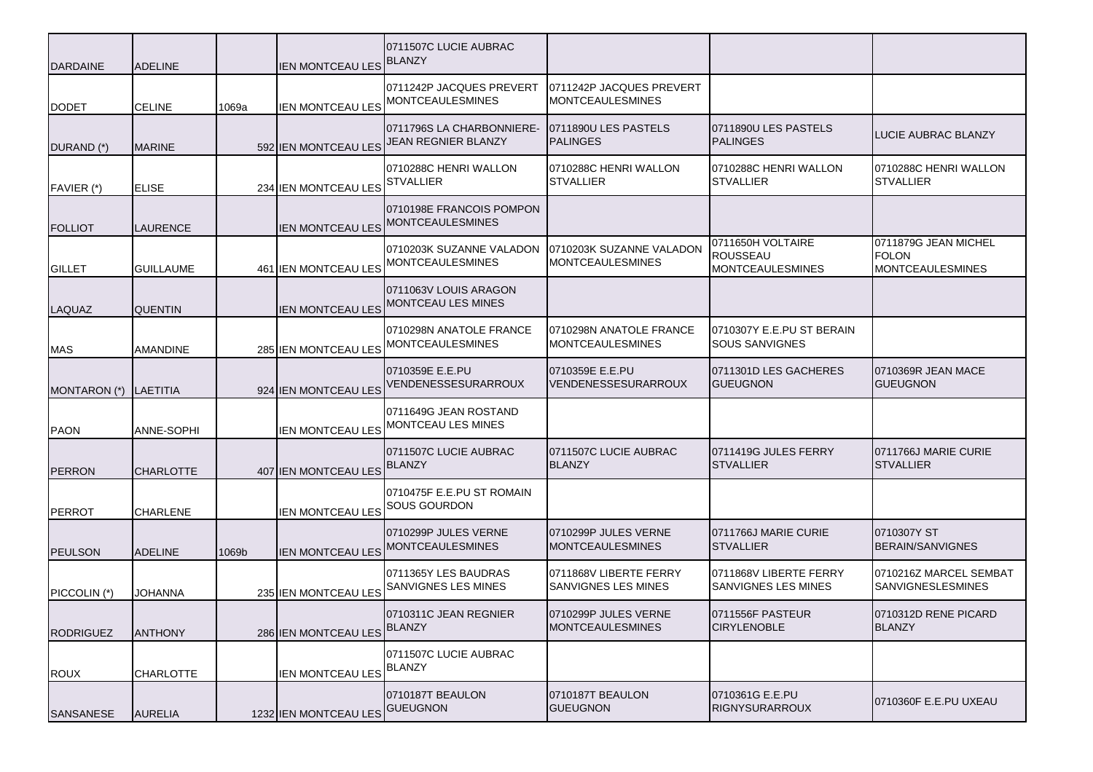| <b>DARDAINE</b>  | <b>ADELINE</b>   |       | <b>IEN MONTCEAU LES</b>        | 0711507C LUCIE AUBRAC<br><b>BLANZY</b>                                           |                                                      |                                                                 |                                                                 |
|------------------|------------------|-------|--------------------------------|----------------------------------------------------------------------------------|------------------------------------------------------|-----------------------------------------------------------------|-----------------------------------------------------------------|
| <b>DODET</b>     | <b>CELINE</b>    | 1069a | <b>IEN MONTCEAU LES</b>        | 0711242P JACQUES PREVERT<br><b>MONTCEAULESMINES</b>                              | 0711242P JACQUES PREVERT<br><b>MONTCEAULESMINES</b>  |                                                                 |                                                                 |
| DURAND (*)       | <b>MARINE</b>    |       |                                | 0711796S LA CHARBONNIERE-<br>592 IEN MONTCEAU LES <sup>JEAN REGNIER BLANZY</sup> | 0711890U LES PASTELS<br><b>PALINGES</b>              | 0711890U LES PASTELS<br><b>PALINGES</b>                         | LUCIE AUBRAC BLANZY                                             |
| FAVIER (*)       | <b>ELISE</b>     |       | 234 IEN MONTCEAU LES           | 0710288C HENRI WALLON<br><b>STVALLIER</b>                                        | 0710288C HENRI WALLON<br><b>STVALLIER</b>            | 0710288C HENRI WALLON<br><b>STVALLIER</b>                       | 0710288C HENRI WALLON<br><b>STVALLIER</b>                       |
| <b>FOLLIOT</b>   | <b>LAURENCE</b>  |       | <b>IEN MONTCEAU LES</b>        | 0710198E FRANCOIS POMPON<br><b>MONTCEAULESMINES</b>                              |                                                      |                                                                 |                                                                 |
| <b>GILLET</b>    | <b>GUILLAUME</b> |       | 461 IEN MONTCEAU LES           | 0710203K SUZANNE VALADON<br><b>MONTCEAULESMINES</b>                              | 0710203K SUZANNE VALADON<br><b>MONTCEAULESMINES</b>  | 0711650H VOLTAIRE<br><b>ROUSSEAU</b><br><b>MONTCEAULESMINES</b> | 0711879G JEAN MICHEL<br><b>FOLON</b><br><b>MONTCEAULESMINES</b> |
| LAQUAZ           | <b>QUENTIN</b>   |       | <b>IEN MONTCEAU LES</b>        | 0711063V LOUIS ARAGON<br>MONTCEAU LES MINES                                      |                                                      |                                                                 |                                                                 |
| <b>MAS</b>       | <b>AMANDINE</b>  |       | 285 IEN MONTCEAU LES           | 0710298N ANATOLE FRANCE<br><b>MONTCEAULESMINES</b>                               | 0710298N ANATOLE FRANCE<br><b>MONTCEAULESMINES</b>   | 0710307Y E.E.PU ST BERAIN<br><b>SOUS SANVIGNES</b>              |                                                                 |
| MONTARON (*)     | <b>LAETITIA</b>  |       | 924 IEN MONTCEAU LES           | 0710359E E.E.PU<br>VENDENESSESURARROUX                                           | 0710359E E.E.PU<br>VENDENESSESURARROUX               | 0711301D LES GACHERES<br><b>GUEUGNON</b>                        | 0710369R JEAN MACE<br><b>GUEUGNON</b>                           |
| <b>PAON</b>      | ANNE-SOPHI       |       | <b>IEN MONTCEAU LES</b>        | 0711649G JEAN ROSTAND<br>MONTCEAU LES MINES                                      |                                                      |                                                                 |                                                                 |
| <b>PERRON</b>    | <b>CHARLOTTE</b> |       | 407 IEN MONTCEAU LES           | 0711507C LUCIE AUBRAC<br><b>BLANZY</b>                                           | 0711507C LUCIE AUBRAC<br><b>BLANZY</b>               | 0711419G JULES FERRY<br><b>STVALLIER</b>                        | 0711766J MARIE CURIE<br><b>STVALLIER</b>                        |
| <b>PERROT</b>    | <b>CHARLENE</b>  |       | <b>IEN MONTCEAU LES</b>        | 0710475F E.E.PU ST ROMAIN<br><b>SOUS GOURDON</b>                                 |                                                      |                                                                 |                                                                 |
| <b>PEULSON</b>   | <b>ADELINE</b>   | 1069b | <b>IEN MONTCEAU LES</b>        | 0710299P JULES VERNE<br><b>MONTCEAULESMINES</b>                                  | 0710299P JULES VERNE<br><b>MONTCEAULESMINES</b>      | 0711766J MARIE CURIE<br><b>STVALLIER</b>                        | 0710307Y ST<br><b>BERAIN/SANVIGNES</b>                          |
| PICCOLIN (*)     | <b>JOHANNA</b>   |       | 235 IEN MONTCEAU LES           | 0711365Y LES BAUDRAS<br><b>SANVIGNES LES MINES</b>                               | 0711868V LIBERTE FERRY<br><b>SANVIGNES LES MINES</b> | 0711868V LIBERTE FERRY<br>SANVIGNES LES MINES                   | 0710216Z MARCEL SEMBAT<br><b>SANVIGNESLESMINES</b>              |
| <b>RODRIGUEZ</b> | <b>ANTHONY</b>   |       | 286 IEN MONTCEAU LES           | 0710311C JEAN REGNIER<br><b>BLANZY</b>                                           | 0710299P JULES VERNE<br><b>MONTCEAULESMINES</b>      | 0711556F PASTEUR<br><b>CIRYLENOBLE</b>                          | 0710312D RENE PICARD<br><b>BLANZY</b>                           |
| <b>ROUX</b>      | <b>CHARLOTTE</b> |       | <b>IEN MONTCEAU LES</b>        | 0711507C LUCIE AUBRAC<br><b>BLANZY</b>                                           |                                                      |                                                                 |                                                                 |
| SANSANESE        | <b>AURELIA</b>   |       | 1232 IEN MONTCEAU LES GUEUGNON | 0710187T BEAULON                                                                 | 0710187T BEAULON<br><b>GUEUGNON</b>                  | 0710361G E.E.PU<br><b>RIGNYSURARROUX</b>                        | 0710360F E.E.PU UXEAU                                           |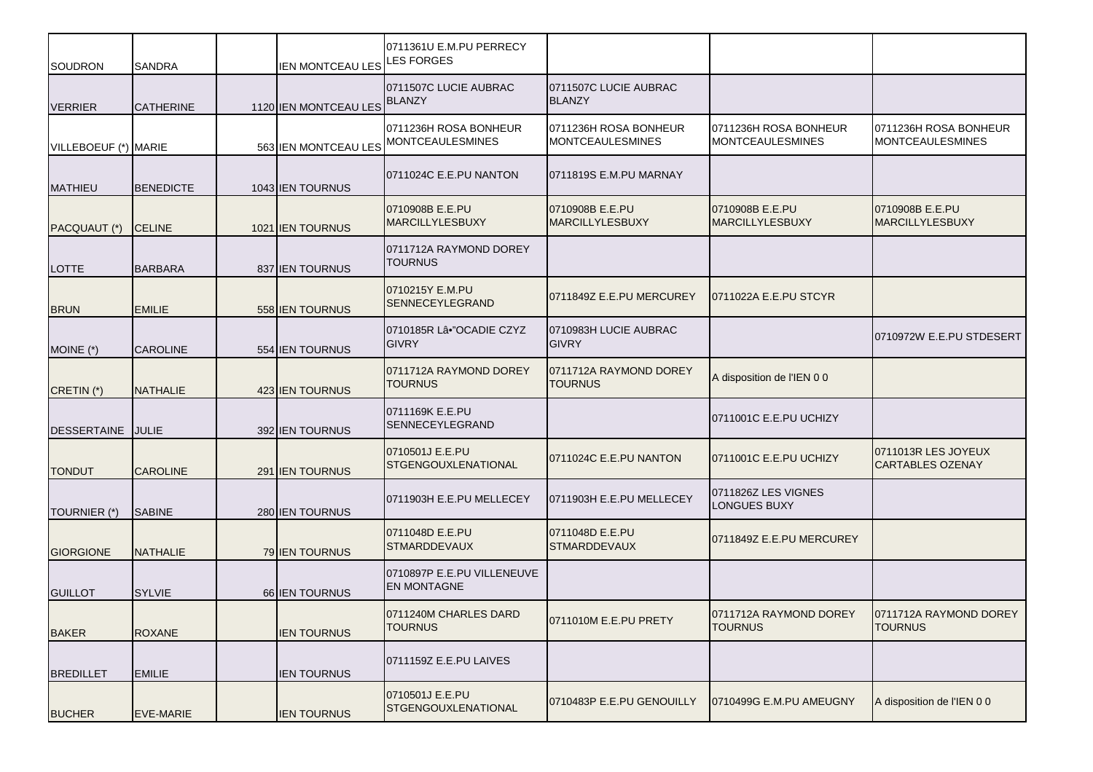| <b>SOUDRON</b>       | <b>SANDRA</b>    | <b>IEN MONTCEAU LES</b>      | 0711361U E.M.PU PERRECY<br><b>LES FORGES</b>     |                                           |                                                  |                                                  |
|----------------------|------------------|------------------------------|--------------------------------------------------|-------------------------------------------|--------------------------------------------------|--------------------------------------------------|
| <b>VERRIER</b>       | <b>CATHERINE</b> | 1120 IEN MONTCEAU LES BLANZY | 0711507C LUCIE AUBRAC                            | 0711507C LUCIE AUBRAC<br><b>BLANZY</b>    |                                                  |                                                  |
| VILLEBOEUF (*) MARIE |                  | 563 IEN MONTCEAU LES         | 0711236H ROSA BONHEUR<br><b>MONTCEAULESMINES</b> | 0711236H ROSA BONHEUR<br>MONTCEAULESMINES | 0711236H ROSA BONHEUR<br><b>MONTCEAULESMINES</b> | 0711236H ROSA BONHEUR<br><b>MONTCEAULESMINES</b> |
| <b>MATHIEU</b>       | <b>BENEDICTE</b> | 1043 IEN TOURNUS             | 0711024C E.E.PU NANTON                           | 0711819S E.M.PU MARNAY                    |                                                  |                                                  |
| PACQUAUT (*)         | <b>CELINE</b>    | 1021 IEN TOURNUS             | 0710908B E.E.PU<br><b>MARCILLYLESBUXY</b>        | 0710908B E.E.PU<br><b>MARCILLYLESBUXY</b> | 0710908B E.E.PU<br><b>MARCILLYLESBUXY</b>        | 0710908B E.E.PU<br><b>MARCILLYLESBUXY</b>        |
| LOTTE                | <b>BARBARA</b>   | 837 IEN TOURNUS              | 0711712A RAYMOND DOREY<br><b>TOURNUS</b>         |                                           |                                                  |                                                  |
| <b>BRUN</b>          | <b>EMILIE</b>    | 558 IEN TOURNUS              | 0710215Y E.M.PU<br><b>SENNECEYLEGRAND</b>        | 0711849Z E.E.PU MERCUREY                  | 0711022A E.E.PU STCYR                            |                                                  |
| MOINE (*)            | <b>CAROLINE</b>  | 554 IEN TOURNUS              | 0710185R Lâ•"OCADIE CZYZ<br><b>GIVRY</b>         | 0710983H LUCIE AUBRAC<br><b>GIVRY</b>     |                                                  | 0710972W E.E.PU STDESERT                         |
| CRETIN (*)           | <b>NATHALIE</b>  | 423 JEN TOURNUS              | 0711712A RAYMOND DOREY<br><b>TOURNUS</b>         | 0711712A RAYMOND DOREY<br><b>TOURNUS</b>  | A disposition de l'IEN 0 0                       |                                                  |
| <b>DESSERTAINE</b>   | JULIE            | 392 IEN TOURNUS              | 0711169K E.E.PU<br>SENNECEYLEGRAND               |                                           | 0711001C E.E.PU UCHIZY                           |                                                  |
| <b>TONDUT</b>        | <b>CAROLINE</b>  | 291 IEN TOURNUS              | 0710501J E.E.PU<br><b>STGENGOUXLENATIONAL</b>    | 0711024C E.E.PU NANTON                    | 0711001C E.E.PU UCHIZY                           | 0711013R LES JOYEUX<br><b>CARTABLES OZENAY</b>   |
| TOURNIER (*)         | <b>SABINE</b>    | 280 IEN TOURNUS              | 0711903H E.E.PU MELLECEY                         | 0711903H E.E.PU MELLECEY                  | 0711826Z LES VIGNES<br><b>LONGUES BUXY</b>       |                                                  |
| <b>GIORGIONE</b>     | <b>NATHALIE</b>  | 79 IEN TOURNUS               | 0711048D E.E.PU<br><b>STMARDDEVAUX</b>           | 0711048D E.E.PU<br><b>STMARDDEVAUX</b>    | 0711849Z E.E.PU MERCUREY                         |                                                  |
| <b>GUILLOT</b>       | <b>SYLVIE</b>    | 66 IEN TOURNUS               | 0710897P E.E.PU VILLENEUVE<br><b>EN MONTAGNE</b> |                                           |                                                  |                                                  |
| <b>BAKER</b>         | <b>ROXANE</b>    | <b>IEN TOURNUS</b>           | 0711240M CHARLES DARD<br><b>TOURNUS</b>          | 0711010M E.E.PU PRETY                     | 0711712A RAYMOND DOREY<br><b>TOURNUS</b>         | 0711712A RAYMOND DOREY<br><b>TOURNUS</b>         |
| <b>BREDILLET</b>     | <b>EMILIE</b>    | <b>IEN TOURNUS</b>           | 0711159Z E.E.PU LAIVES                           |                                           |                                                  |                                                  |
| <b>BUCHER</b>        | <b>EVE-MARIE</b> | <b>IEN TOURNUS</b>           | 0710501J E.E.PU<br>STGENGOUXLENATIONAL           | 0710483P E.E.PU GENOUILLY                 | 0710499G E.M.PU AMEUGNY                          | A disposition de l'IEN 0 0                       |